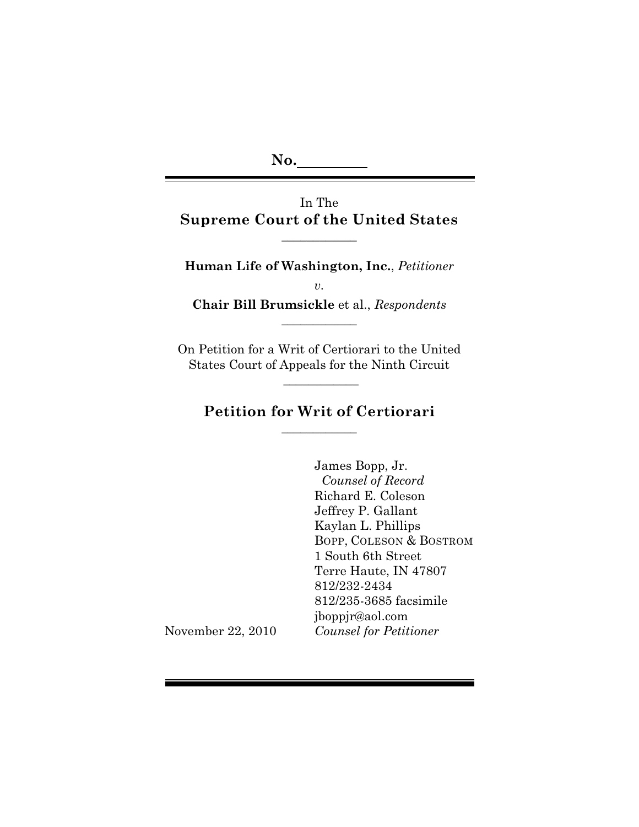**No.**

In The **Supreme Court of the United States**

 $\overline{\phantom{a}}$  , where  $\overline{\phantom{a}}$ 

**Human Life of Washington, Inc.**, *Petitioner v.* **Chair Bill Brumsickle** et al., *Respondents*

 $\overline{\phantom{a}}$  , where  $\overline{\phantom{a}}$ 

On Petition for a Writ of Certiorari to the United States Court of Appeals for the Ninth Circuit

 $\frac{1}{2}$ 

## **Petition for Writ of Certiorari**  $\overline{\phantom{a}}$  , where  $\overline{\phantom{a}}$

James Bopp, Jr. *Counsel of Record* Richard E. Coleson Jeffrey P. Gallant Kaylan L. Phillips BOPP, COLESON & BOSTROM 1 South 6th Street Terre Haute, IN 47807 812/232-2434 812/235-3685 facsimile jboppjr@aol.com *Counsel for Petitioner*

November 22, 2010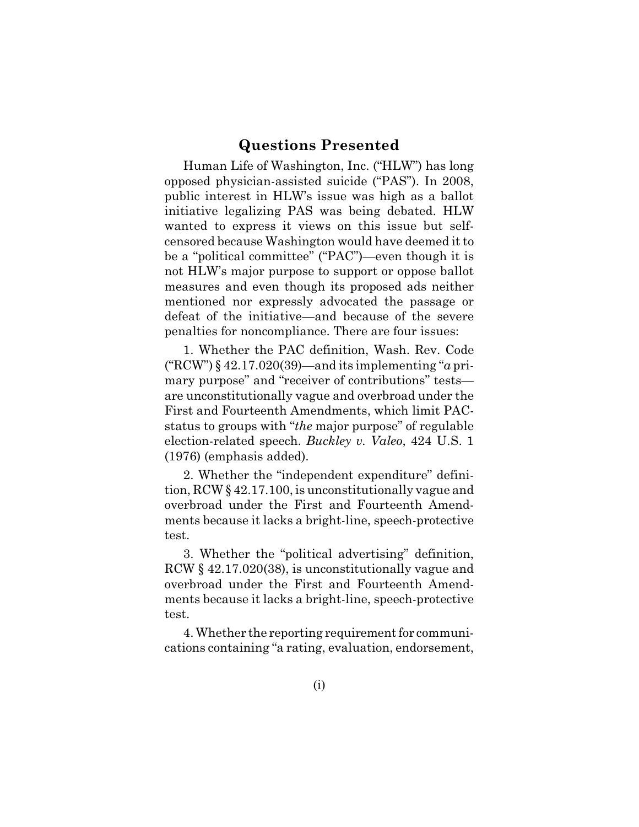## **Questions Presented**

Human Life of Washington, Inc. ("HLW") has long opposed physician-assisted suicide ("PAS"). In 2008, public interest in HLW's issue was high as a ballot initiative legalizing PAS was being debated. HLW wanted to express it views on this issue but selfcensored because Washington would have deemed it to be a "political committee" ("PAC")—even though it is not HLW's major purpose to support or oppose ballot measures and even though its proposed ads neither mentioned nor expressly advocated the passage or defeat of the initiative—and because of the severe penalties for noncompliance. There are four issues:

1. Whether the PAC definition, Wash. Rev. Code ("RCW") § 42.17.020(39)—and its implementing "*a* primary purpose" and "receiver of contributions" tests are unconstitutionally vague and overbroad under the First and Fourteenth Amendments, which limit PACstatus to groups with "*the* major purpose" of regulable election-related speech. *Buckley v. Valeo*, 424 U.S. 1 (1976) (emphasis added).

2. Whether the "independent expenditure" definition, RCW § 42.17.100, is unconstitutionally vague and overbroad under the First and Fourteenth Amendments because it lacks a bright-line, speech-protective test.

3. Whether the "political advertising" definition, RCW § 42.17.020(38), is unconstitutionally vague and overbroad under the First and Fourteenth Amendments because it lacks a bright-line, speech-protective test.

4. Whether the reporting requirement for communications containing "a rating, evaluation, endorsement,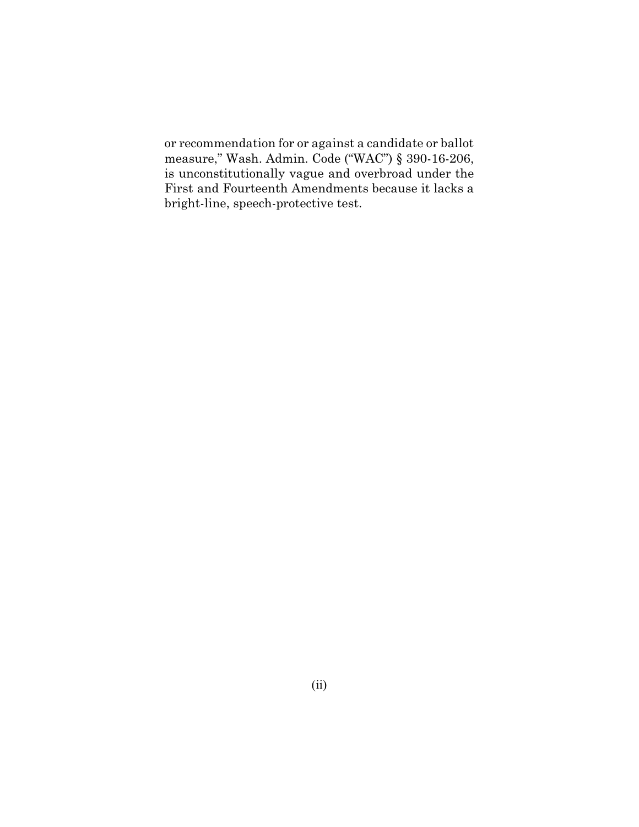or recommendation for or against a candidate or ballot measure," Wash. Admin. Code ("WAC") § 390-16-206, is unconstitutionally vague and overbroad under the First and Fourteenth Amendments because it lacks a bright-line, speech-protective test.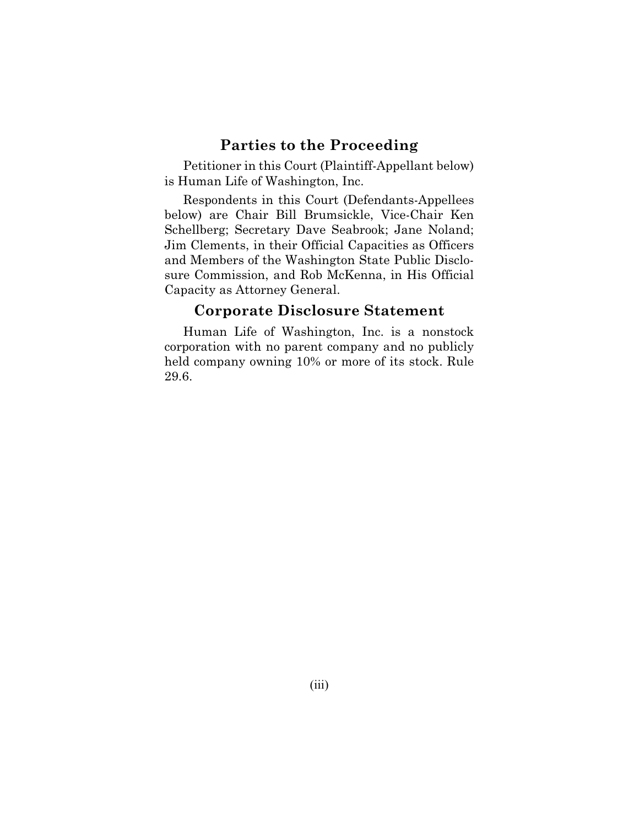## **Parties to the Proceeding**

Petitioner in this Court (Plaintiff-Appellant below) is Human Life of Washington, Inc.

Respondents in this Court (Defendants-Appellees below) are Chair Bill Brumsickle, Vice-Chair Ken Schellberg; Secretary Dave Seabrook; Jane Noland; Jim Clements, in their Official Capacities as Officers and Members of the Washington State Public Disclosure Commission, and Rob McKenna, in His Official Capacity as Attorney General.

## **Corporate Disclosure Statement**

Human Life of Washington, Inc. is a nonstock corporation with no parent company and no publicly held company owning 10% or more of its stock. Rule 29.6.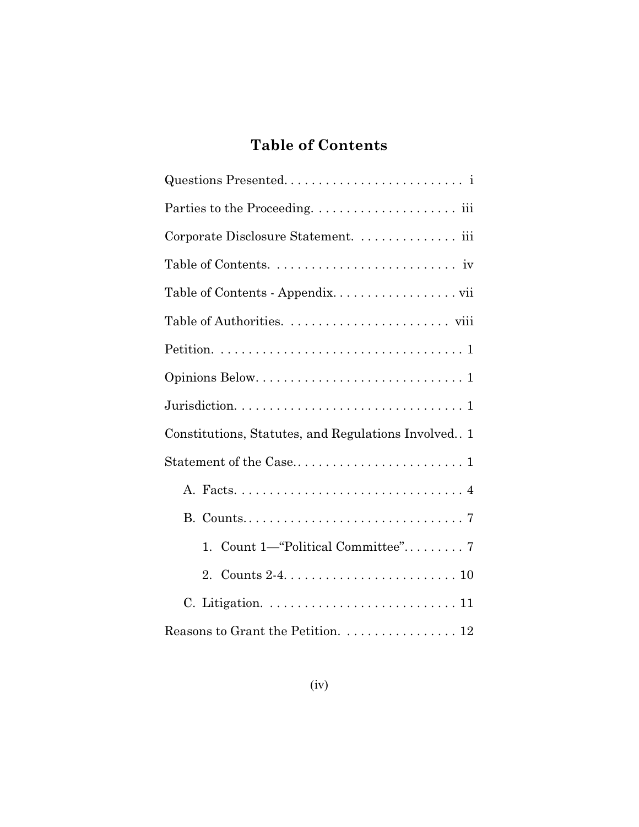## **Table of Contents**

| Corporate Disclosure Statement.  iii                                   |
|------------------------------------------------------------------------|
|                                                                        |
| Table of Contents - Appendix. vii                                      |
|                                                                        |
|                                                                        |
|                                                                        |
|                                                                        |
| Constitutions, Statutes, and Regulations Involved 1                    |
|                                                                        |
|                                                                        |
|                                                                        |
| 1.                                                                     |
| 2.                                                                     |
|                                                                        |
| Reasons to Grant the Petition. $\ldots \ldots \ldots \ldots \ldots 12$ |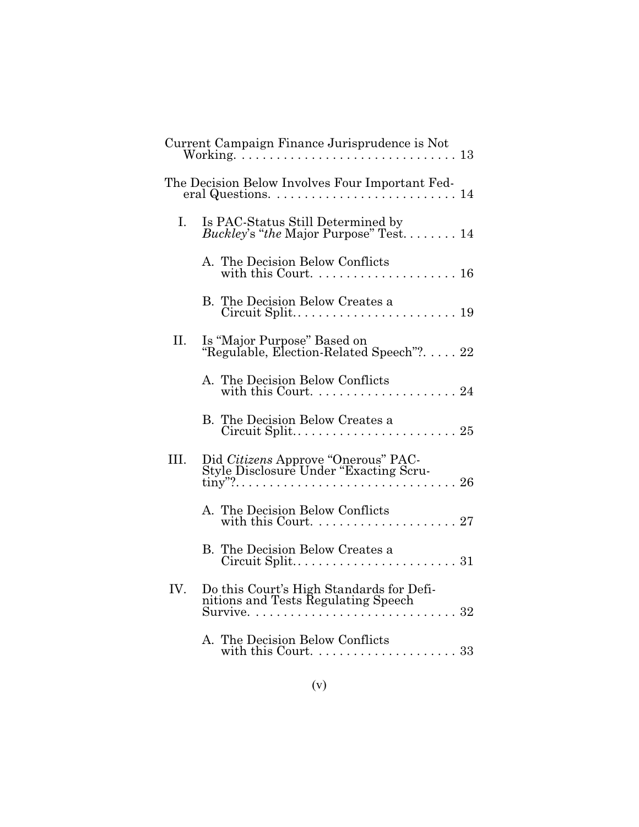|      | Current Campaign Finance Jurisprudence is Not                                                            |
|------|----------------------------------------------------------------------------------------------------------|
|      | The Decision Below Involves Four Important Fed-<br>eral Questions. $\dots \dots \dots \dots \dots \dots$ |
| I.   | Is PAC-Status Still Determined by<br>Buckley's "the Major Purpose" Test 14                               |
|      | A. The Decision Below Conflicts                                                                          |
|      | B. The Decision Below Creates a                                                                          |
| II.  | Is "Major Purpose" Based on<br>"Regulable, Election-Related Speech"?. 22                                 |
|      | A. The Decision Below Conflicts                                                                          |
|      | B. The Decision Below Creates a                                                                          |
| III. | Did Citizens Approve "Onerous" PAC-<br>Style Disclosure Under "Exacting Scru-                            |
|      | A. The Decision Below Conflicts                                                                          |
|      | B. The Decision Below Creates a                                                                          |
| IV.  | Do this Court's High Standards for Defi-<br>nitions and Tests Regulating Speech                          |
|      | A. The Decision Below Conflicts<br>with this Court. $\dots \dots \dots \dots \dots \dots \dots 33$       |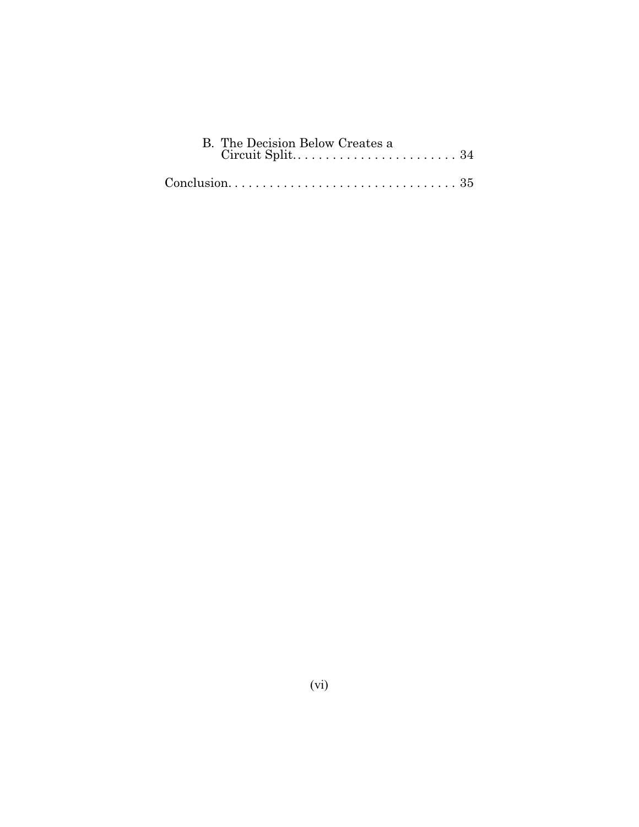| B. The Decision Below Creates a |  |
|---------------------------------|--|
|                                 |  |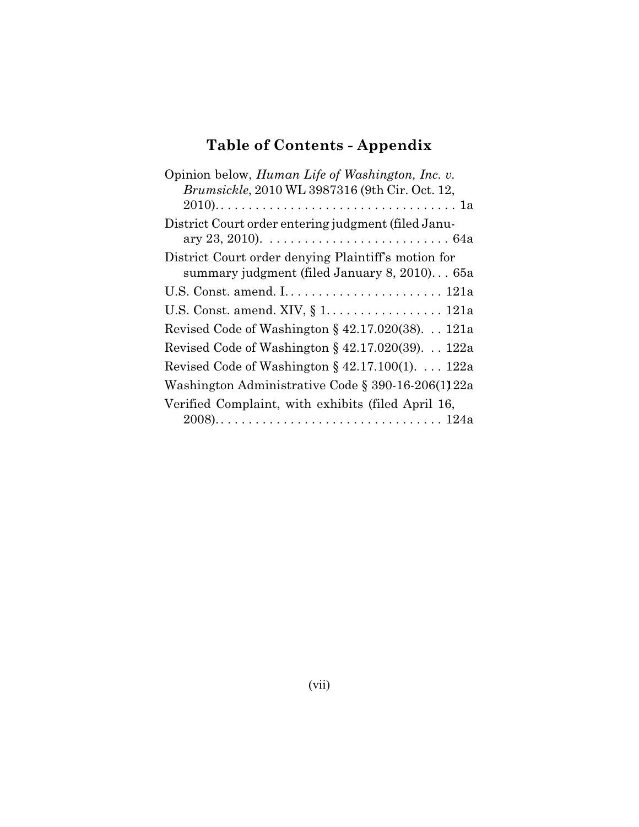# **Table of Contents - Appendix**

| Opinion below, <i>Human Life of Washington</i> , <i>Inc. v.</i>                                     |
|-----------------------------------------------------------------------------------------------------|
| Brumsickle, 2010 WL 3987316 (9th Cir. Oct. 12,                                                      |
|                                                                                                     |
| District Court order entering judgment (filed Janu-                                                 |
| ary 23, 2010). $\ldots \ldots \ldots \ldots \ldots \ldots \ldots \ldots \ldots \ldots 64$ a         |
| District Court order denying Plaintiff's motion for<br>summary judgment (filed January 8, 2010) 65a |
|                                                                                                     |
|                                                                                                     |
| Revised Code of Washington $\S$ 42.17.020(38). 121a                                                 |
| Revised Code of Washington § 42.17.020(39). $\ldots$ 122a                                           |
| Revised Code of Washington § 42.17.100(1). 122a                                                     |
| Washington Administrative Code § 390-16-206(1)22a                                                   |
| Verified Complaint, with exhibits (filed April 16,                                                  |
|                                                                                                     |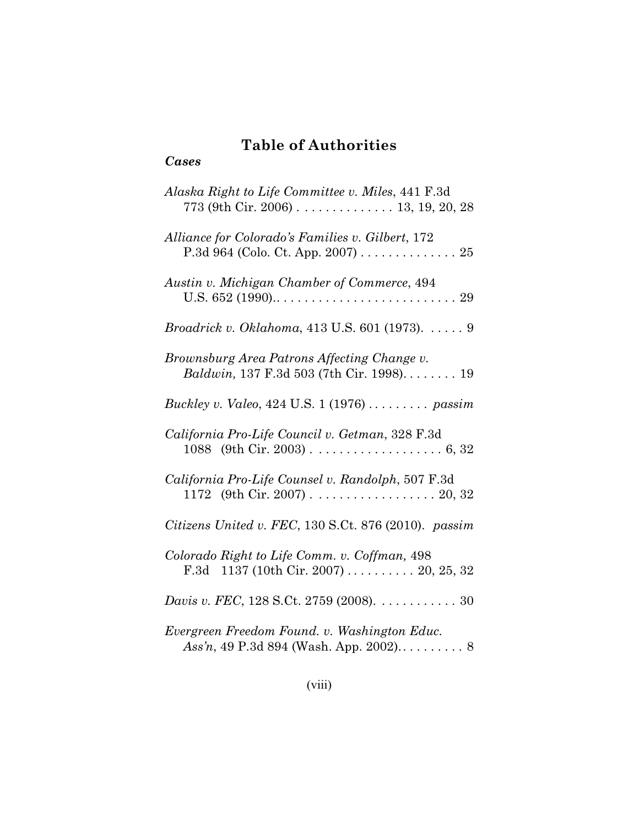## **Table of Authorities**

## *Cases*

| Alaska Right to Life Committee v. Miles, 441 F.3d<br>773 (9th Cir. 2006) 13, 19, 20, 28  |
|------------------------------------------------------------------------------------------|
| Alliance for Colorado's Families v. Gilbert, 172<br>P.3d 964 (Colo. Ct. App. 2007) 25    |
| Austin v. Michigan Chamber of Commerce, 494                                              |
| Broadrick v. Oklahoma, 413 U.S. 601 (1973). 9                                            |
| Brownsburg Area Patrons Affecting Change v.<br>Baldwin, 137 F.3d 503 (7th Cir. 1998). 19 |
| Buckley v. Valeo, 424 U.S. 1 (1976)  passim                                              |
| California Pro-Life Council v. Getman, 328 F.3d                                          |
| California Pro-Life Counsel v. Randolph, 507 F.3d<br>1172 (9th Cir. 2007) 20, 32         |
| Citizens United v. FEC, 130 S.Ct. 876 (2010). passim                                     |
| Colorado Right to Life Comm. v. Coffman, 498<br>F.3d 1137 (10th Cir. 2007)  20, 25, 32   |
| Davis v. FEC, 128 S.Ct. 2759 (2008). 30                                                  |
| Evergreen Freedom Found. v. Washington Educ.                                             |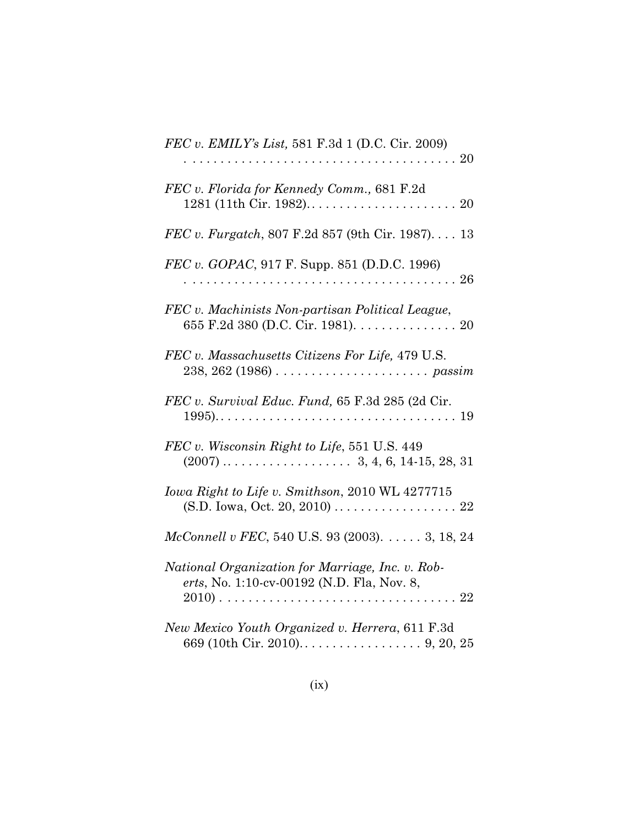| FEC v. EMILY's List, 581 F.3d 1 (D.C. Cir. 2009)                                               |
|------------------------------------------------------------------------------------------------|
| FEC v. Florida for Kennedy Comm., 681 F.2d                                                     |
| <i>FEC v. Furgatch</i> , 807 F.2d 857 (9th Cir. 1987) 13                                       |
| FEC v. GOPAC, 917 F. Supp. 851 (D.D.C. 1996)                                                   |
| FEC v. Machinists Non-partisan Political League,<br>655 F.2d 380 (D.C. Cir. 1981). 20          |
| FEC v. Massachusetts Citizens For Life, 479 U.S.                                               |
| FEC v. Survival Educ. Fund, 65 F.3d 285 (2d Cir.                                               |
| FEC v. Wisconsin Right to Life, 551 U.S. 449                                                   |
| Iowa Right to Life v. Smithson, 2010 WL 4277715                                                |
| McConnell v FEC, 540 U.S. 93 (2003). 3, 18, 24                                                 |
| National Organization for Marriage, Inc. v. Rob-<br>erts, No. 1:10-cv-00192 (N.D. Fla, Nov. 8, |
| New Mexico Youth Organized v. Herrera, 611 F.3d                                                |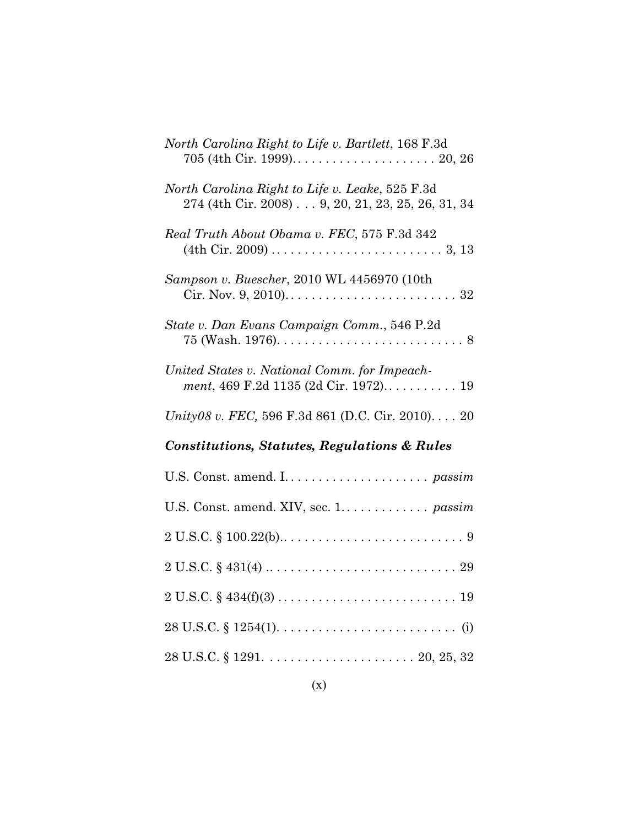| North Carolina Right to Life v. Bartlett, 168 F.3d                                                                                    |
|---------------------------------------------------------------------------------------------------------------------------------------|
| North Carolina Right to Life v. Leake, 525 F.3d<br>274 (4th Cir. 2008) 9, 20, 21, 23, 25, 26, 31, 34                                  |
| Real Truth About Obama v. FEC, 575 F.3d 342<br>$(4th Cir. 2009) \ldots \ldots \ldots \ldots \ldots \ldots \ldots \ldots \ldots 3, 13$ |
| Sampson v. Buescher, 2010 WL 4456970 (10th                                                                                            |
| State v. Dan Evans Campaign Comm., 546 P.2d                                                                                           |
| United States v. National Comm. for Impeach-<br>ment, 469 F.2d 1135 (2d Cir. 1972) 19                                                 |
|                                                                                                                                       |
| Unity08 v. FEC, 596 F.3d 861 (D.C. Cir. 2010) 20                                                                                      |
| <b>Constitutions, Statutes, Regulations &amp; Rules</b>                                                                               |
|                                                                                                                                       |
| U.S. Const. amend. XIV, sec. 1. passim                                                                                                |
| $2 U.S.C. \S 100.22(b) \ldots \ldots \ldots \ldots \ldots \ldots \ldots \ldots \ldots \ldots \ldots \ldots$                           |
| $2 U.S.C. \S 431(4) \ldots \ldots \ldots \ldots \ldots \ldots \ldots \ldots \ldots \ldots 29$                                         |
| $2 U.S.C. \S 434(f)(3) \ldots \ldots \ldots \ldots \ldots \ldots \ldots \ldots \ldots 19$                                             |
|                                                                                                                                       |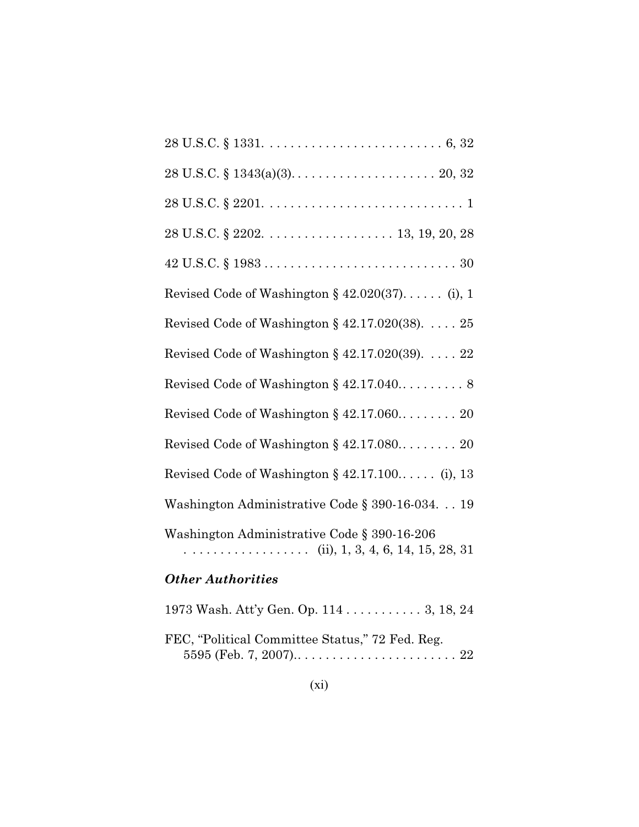| <b>Other Authorities</b>                                                                                            |
|---------------------------------------------------------------------------------------------------------------------|
| Washington Administrative Code § 390-16-206<br>. (ii), 1, 3, 4, 6, 14, 15, 28, 31                                   |
| Washington Administrative Code § 390-16-034. 19                                                                     |
| Revised Code of Washington $\S$ 42.17.100 (i), 13                                                                   |
| Revised Code of Washington $\S$ 42.17.080 20                                                                        |
| Revised Code of Washington § 42.17.060 20                                                                           |
|                                                                                                                     |
| Revised Code of Washington § $42.17.020(39)$ . $22$                                                                 |
| Revised Code of Washington § 42.17.020(38). $\ldots$ . 25                                                           |
| Revised Code of Washington § 42.020(37) (i), 1                                                                      |
| $42 \text{ U.S.C.} \$ $1983 \ldots \ldots \ldots \ldots \ldots \ldots \ldots \ldots \ldots \ldots \ldots \ldots 30$ |
|                                                                                                                     |
| $28 \text{ U.S.C.} \S 2201. \ldots \ldots \ldots \ldots \ldots \ldots \ldots \ldots \ldots 1$                       |
|                                                                                                                     |
|                                                                                                                     |

1973 Wash. Att'y Gen. Op. 114 . . . . . . . . . . . 3, 18, 24 FEC, "Political Committee Status," 72 Fed. Reg. 5595 (Feb. 7, 2007).. . . . . . . . . . . . . . . . . . . . . . . 22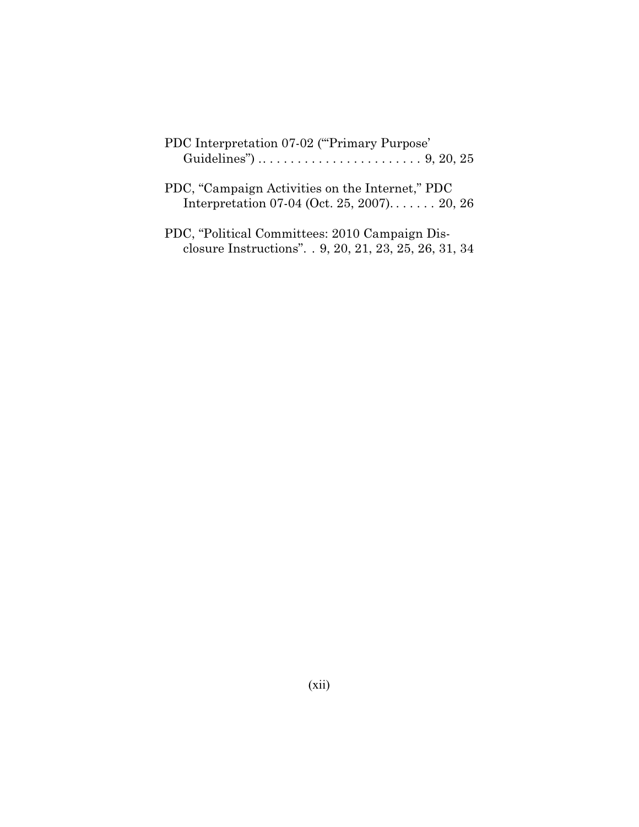| PDC Interpretation 07-02 ("Primary Purpose"<br>Guidelines") $\dots \dots \dots \dots \dots \dots \dots \dots$ 9, 20, 25 |
|-------------------------------------------------------------------------------------------------------------------------|
| PDC, "Campaign Activities on the Internet," PDC<br>Interpretation 07-04 (Oct. 25, 2007) 20, 26                          |
| PDC, "Political Committees: 2010 Campaign Dis-<br>closure Instructions". . 9, 20, 21, 23, 25, 26, 31, 34                |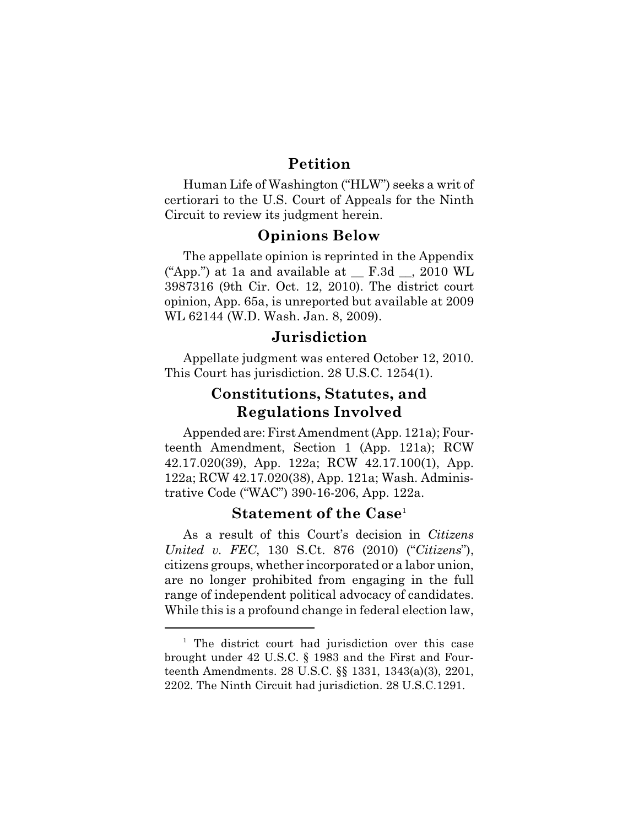## **Petition**

Human Life of Washington ("HLW") seeks a writ of certiorari to the U.S. Court of Appeals for the Ninth Circuit to review its judgment herein.

#### **Opinions Below**

The appellate opinion is reprinted in the Appendix ("App.") at 1a and available at  $F.3d$ , 2010 WL 3987316 (9th Cir. Oct. 12, 2010). The district court opinion, App. 65a, is unreported but available at 2009 WL 62144 (W.D. Wash. Jan. 8, 2009).

## **Jurisdiction**

Appellate judgment was entered October 12, 2010. This Court has jurisdiction. 28 U.S.C. 1254(1).

## **Constitutions, Statutes, and Regulations Involved**

Appended are: First Amendment (App. 121a); Fourteenth Amendment, Section 1 (App. 121a); RCW 42.17.020(39), App. 122a; RCW 42.17.100(1), App. 122a; RCW 42.17.020(38), App. 121a; Wash. Administrative Code ("WAC") 390-16-206, App. 122a.

#### **Statement of the Case** 1

As a result of this Court's decision in *Citizens United v. FEC*, 130 S.Ct. 876 (2010) ("*Citizens*"), citizens groups, whether incorporated or a labor union, are no longer prohibited from engaging in the full range of independent political advocacy of candidates. While this is a profound change in federal election law,

<sup>&</sup>lt;sup>1</sup> The district court had jurisdiction over this case brought under 42 U.S.C. § 1983 and the First and Fourteenth Amendments. 28 U.S.C. §§ 1331, 1343(a)(3), 2201, 2202. The Ninth Circuit had jurisdiction. 28 U.S.C.1291.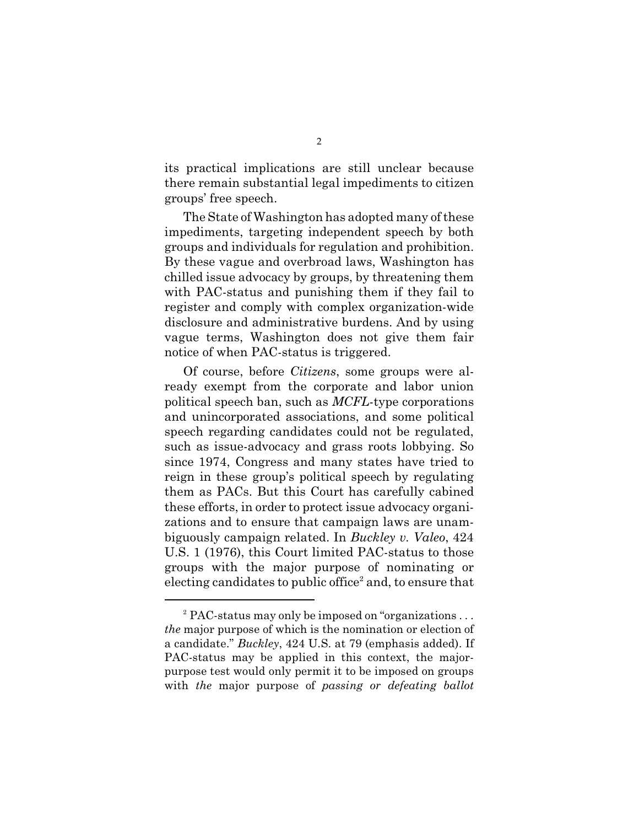its practical implications are still unclear because there remain substantial legal impediments to citizen groups' free speech.

The State of Washington has adopted many of these impediments, targeting independent speech by both groups and individuals for regulation and prohibition. By these vague and overbroad laws, Washington has chilled issue advocacy by groups, by threatening them with PAC-status and punishing them if they fail to register and comply with complex organization-wide disclosure and administrative burdens. And by using vague terms, Washington does not give them fair notice of when PAC-status is triggered.

Of course, before *Citizens*, some groups were already exempt from the corporate and labor union political speech ban, such as *MCFL*-type corporations and unincorporated associations, and some political speech regarding candidates could not be regulated, such as issue-advocacy and grass roots lobbying. So since 1974, Congress and many states have tried to reign in these group's political speech by regulating them as PACs. But this Court has carefully cabined these efforts, in order to protect issue advocacy organizations and to ensure that campaign laws are unambiguously campaign related. In *Buckley v. Valeo*, 424 U.S. 1 (1976), this Court limited PAC-status to those groups with the major purpose of nominating or electing candidates to public office<sup>2</sup> and, to ensure that

<sup>&</sup>lt;sup>2</sup> PAC-status may only be imposed on "organizations... *the* major purpose of which is the nomination or election of a candidate." *Buckley*, 424 U.S. at 79 (emphasis added). If PAC-status may be applied in this context, the majorpurpose test would only permit it to be imposed on groups with *the* major purpose of *passing or defeating ballot*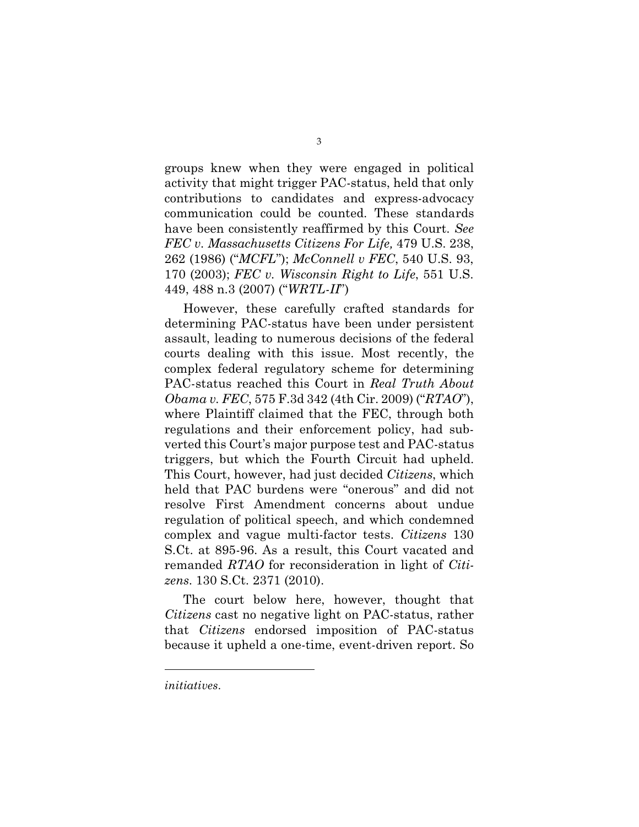groups knew when they were engaged in political activity that might trigger PAC-status, held that only contributions to candidates and express-advocacy communication could be counted. These standards have been consistently reaffirmed by this Court. *See FEC v. Massachusetts Citizens For Life,* 479 U.S. 238, 262 (1986) ("*MCFL*"); *McConnell v FEC*, 540 U.S. 93, 170 (2003); *FEC v. Wisconsin Right to Life*, 551 U.S. 449, 488 n.3 (2007) ("*WRTL-II*")

However, these carefully crafted standards for determining PAC-status have been under persistent assault, leading to numerous decisions of the federal courts dealing with this issue. Most recently, the complex federal regulatory scheme for determining PAC-status reached this Court in *Real Truth About Obama v. FEC*, 575 F.3d 342 (4th Cir. 2009) ("*RTAO*"), where Plaintiff claimed that the FEC, through both regulations and their enforcement policy, had subverted this Court's major purpose test and PAC-status triggers, but which the Fourth Circuit had upheld. This Court, however, had just decided *Citizens*, which held that PAC burdens were "onerous" and did not resolve First Amendment concerns about undue regulation of political speech, and which condemned complex and vague multi-factor tests. *Citizens* 130 S.Ct. at 895-96. As a result, this Court vacated and remanded *RTAO* for reconsideration in light of *Citizens*. 130 S.Ct. 2371 (2010).

The court below here, however, thought that *Citizens* cast no negative light on PAC-status, rather that *Citizens* endorsed imposition of PAC-status because it upheld a one-time, event-driven report. So

*initiatives*.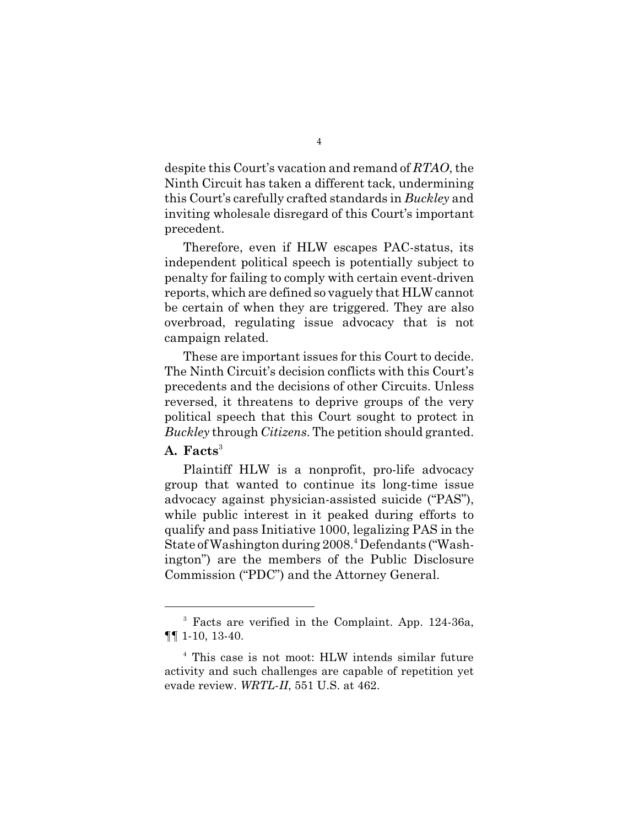despite this Court's vacation and remand of *RTAO*, the Ninth Circuit has taken a different tack, undermining this Court's carefully crafted standards in *Buckley* and inviting wholesale disregard of this Court's important precedent.

Therefore, even if HLW escapes PAC-status, its independent political speech is potentially subject to penalty for failing to comply with certain event-driven reports, which are defined so vaguely that HLW cannot be certain of when they are triggered. They are also overbroad, regulating issue advocacy that is not campaign related.

These are important issues for this Court to decide. The Ninth Circuit's decision conflicts with this Court's precedents and the decisions of other Circuits. Unless reversed, it threatens to deprive groups of the very political speech that this Court sought to protect in *Buckley* through *Citizens*. The petition should granted.

## **A. Facts**<sup>3</sup>

Plaintiff HLW is a nonprofit, pro-life advocacy group that wanted to continue its long-time issue advocacy against physician-assisted suicide ("PAS"), while public interest in it peaked during efforts to qualify and pass Initiative 1000, legalizing PAS in the State of Washington during 2008.<sup>4</sup> Defendants ("Washington") are the members of the Public Disclosure Commission ("PDC") and the Attorney General.

 $3$  Facts are verified in the Complaint. App. 124-36a, ¶¶ 1-10, 13-40.

 $4$  This case is not moot: HLW intends similar future activity and such challenges are capable of repetition yet evade review. *WRTL*-*II*, 551 U.S. at 462.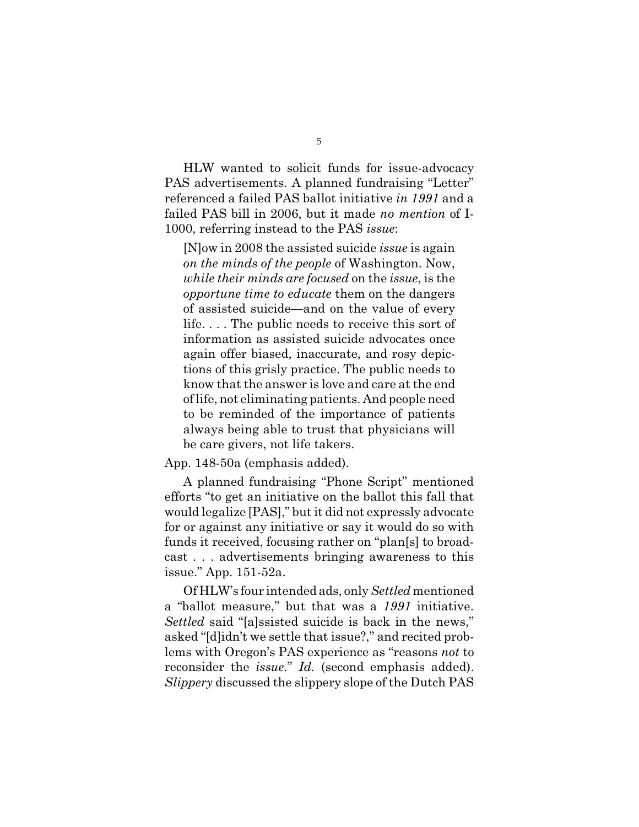HLW wanted to solicit funds for issue-advocacy PAS advertisements. A planned fundraising "Letter" referenced a failed PAS ballot initiative *in 1991* and a failed PAS bill in 2006, but it made *no mention* of I-1000, referring instead to the PAS *issue*:

[N]ow in 2008 the assisted suicide *issue* is again *on the minds of the people* of Washington. Now, *while their minds are focused* on the *issue*, is the *opportune time to educate* them on the dangers of assisted suicide—and on the value of every life. . . . The public needs to receive this sort of information as assisted suicide advocates once again offer biased, inaccurate, and rosy depictions of this grisly practice. The public needs to know that the answer is love and care at the end of life, not eliminating patients. And people need to be reminded of the importance of patients always being able to trust that physicians will be care givers, not life takers.

App. 148-50a (emphasis added).

A planned fundraising "Phone Script" mentioned efforts "to get an initiative on the ballot this fall that would legalize [PAS]," but it did not expressly advocate for or against any initiative or say it would do so with funds it received, focusing rather on "plan[s] to broadcast . . . advertisements bringing awareness to this issue." App. 151-52a.

Of HLW's four intended ads, only *Settled* mentioned a "ballot measure," but that was a *1991* initiative. *Settled* said "[a]ssisted suicide is back in the news," asked "[d]idn't we settle that issue?," and recited problems with Oregon's PAS experience as "reasons *not* to reconsider the *issue*." *Id.* (second emphasis added). *Slippery* discussed the slippery slope of the Dutch PAS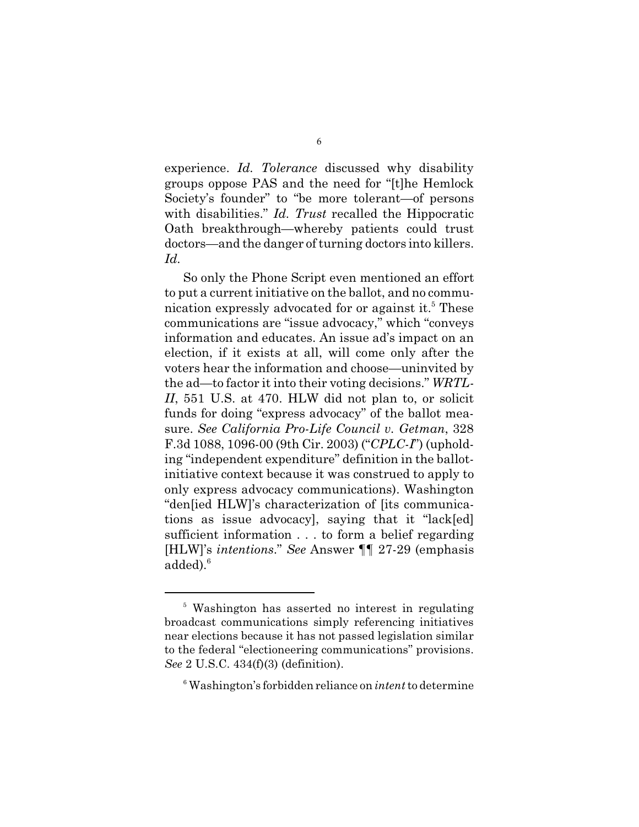experience. *Id. Tolerance* discussed why disability groups oppose PAS and the need for "[t]he Hemlock Society's founder" to "be more tolerant—of persons with disabilities." *Id. Trust* recalled the Hippocratic Oath breakthrough—whereby patients could trust doctors—and the danger of turning doctors into killers. *Id.*

So only the Phone Script even mentioned an effort to put a current initiative on the ballot, and no communication expressly advocated for or against it.<sup>5</sup> These communications are "issue advocacy," which "conveys information and educates. An issue ad's impact on an election, if it exists at all, will come only after the voters hear the information and choose—uninvited by the ad—to factor it into their voting decisions." *WRTL-II*, 551 U.S. at 470. HLW did not plan to, or solicit funds for doing "express advocacy" of the ballot measure. *See California Pro-Life Council v. Getman*, 328 F.3d 1088, 1096-00 (9th Cir. 2003) ("*CPLC*-*I*") (upholding "independent expenditure" definition in the ballotinitiative context because it was construed to apply to only express advocacy communications). Washington "den[ied HLW]'s characterization of [its communications as issue advocacy], saying that it "lack[ed] sufficient information . . . to form a belief regarding [HLW]'s *intentions*." *See* Answer ¶¶ 27-29 (emphasis added). 6

<sup>&</sup>lt;sup>5</sup> Washington has asserted no interest in regulating broadcast communications simply referencing initiatives near elections because it has not passed legislation similar to the federal "electioneering communications" provisions. *See* 2 U.S.C. 434(f)(3) (definition).

Washington's forbidden reliance on *intent* to determine <sup>6</sup>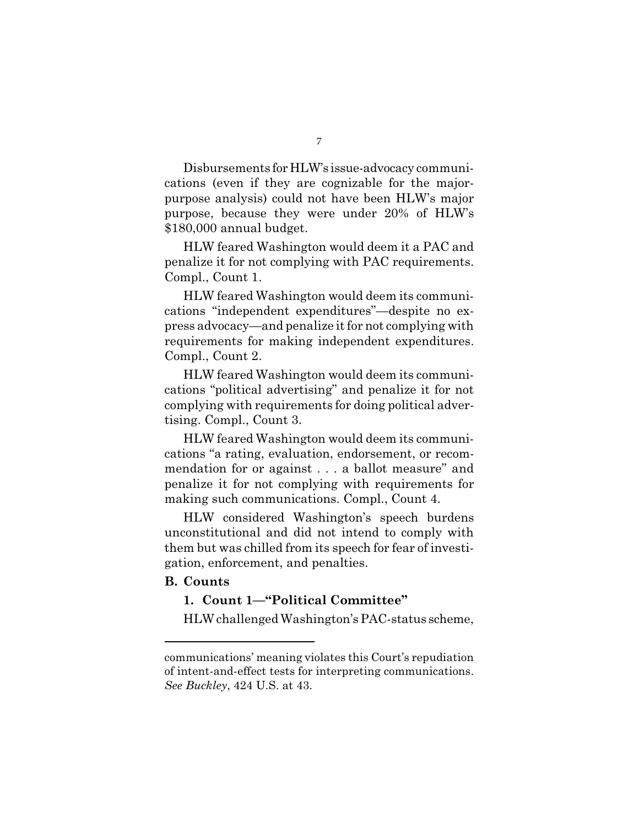Disbursements for HLW's issue-advocacy communications (even if they are cognizable for the majorpurpose analysis) could not have been HLW's major purpose, because they were under 20% of HLW's \$180,000 annual budget.

HLW feared Washington would deem it a PAC and penalize it for not complying with PAC requirements. Compl., Count 1.

HLW feared Washington would deem its communications "independent expenditures"—despite no express advocacy—and penalize it for not complying with requirements for making independent expenditures. Compl., Count 2.

HLW feared Washington would deem its communications "political advertising" and penalize it for not complying with requirements for doing political advertising. Compl., Count 3.

HLW feared Washington would deem its communications "a rating, evaluation, endorsement, or recommendation for or against . . . a ballot measure" and penalize it for not complying with requirements for making such communications. Compl., Count 4.

HLW considered Washington's speech burdens unconstitutional and did not intend to comply with them but was chilled from its speech for fear of investigation, enforcement, and penalties.

#### **B. Counts**

#### **1. Count 1—"Political Committee"**

HLW challenged Washington's PAC-status scheme,

communications' meaning violates this Court's repudiation of intent-and-effect tests for interpreting communications. *See Buckley*, 424 U.S. at 43.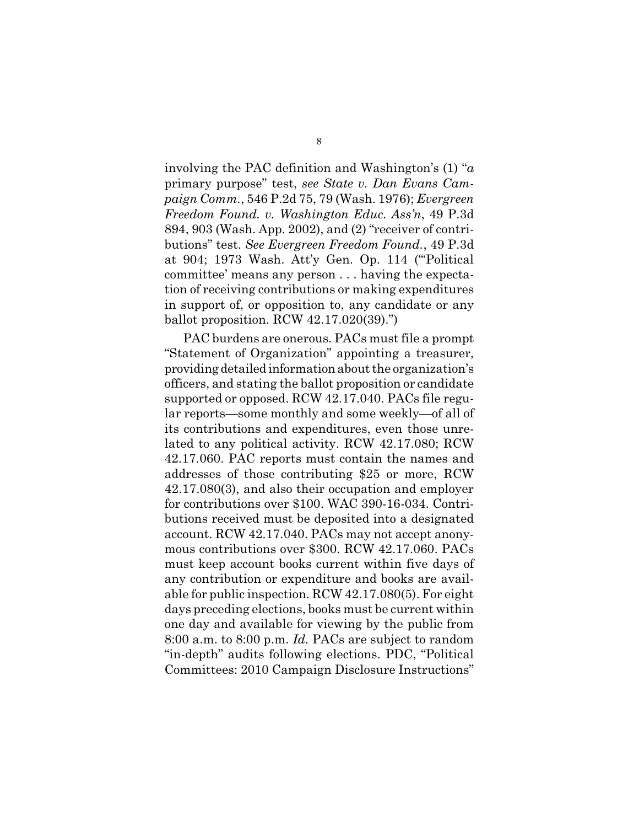involving the PAC definition and Washington's (1) "*a* primary purpose" test, *see State v. Dan Evans Campaign Comm.*, 546 P.2d 75, 79 (Wash. 1976); *Evergreen Freedom Found. v. Washington Educ. Ass'n*, 49 P.3d 894, 903 (Wash. App. 2002), and (2) "receiver of contributions" test. *See Evergreen Freedom Found.*, 49 P.3d at 904; 1973 Wash. Att'y Gen. Op. 114 ("'Political committee' means any person . . . having the expectation of receiving contributions or making expenditures in support of, or opposition to, any candidate or any ballot proposition. RCW 42.17.020(39).")

PAC burdens are onerous. PACs must file a prompt "Statement of Organization" appointing a treasurer, providing detailed informationabout the organization's officers, and stating the ballot proposition or candidate supported or opposed. RCW 42.17.040. PACs file regular reports—some monthly and some weekly—of all of its contributions and expenditures, even those unrelated to any political activity. RCW 42.17.080; RCW 42.17.060. PAC reports must contain the names and addresses of those contributing \$25 or more, RCW 42.17.080(3), and also their occupation and employer for contributions over \$100. WAC 390-16-034. Contributions received must be deposited into a designated account. RCW 42.17.040. PACs may not accept anonymous contributions over \$300. RCW 42.17.060. PACs must keep account books current within five days of any contribution or expenditure and books are available for public inspection. RCW 42.17.080(5). For eight days preceding elections, books must be current within one day and available for viewing by the public from 8:00 a.m. to 8:00 p.m. *Id.* PACs are subject to random "in-depth" audits following elections. PDC, "Political Committees: 2010 Campaign Disclosure Instructions"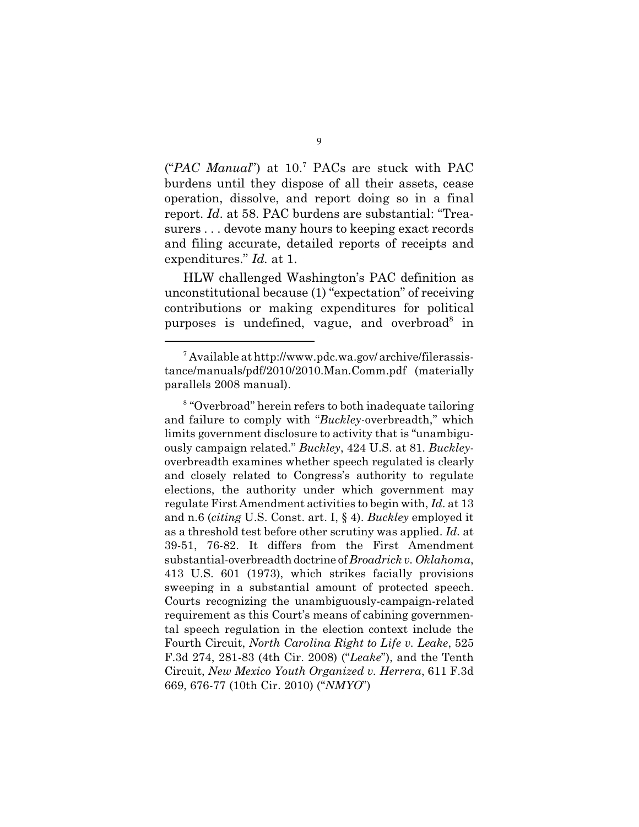("PAC Manual") at 10.<sup>7</sup> PACs are stuck with PAC burdens until they dispose of all their assets, cease operation, dissolve, and report doing so in a final report. *Id*. at 58. PAC burdens are substantial: "Treasurers . . . devote many hours to keeping exact records and filing accurate, detailed reports of receipts and expenditures." *Id.* at 1.

HLW challenged Washington's PAC definition as unconstitutional because (1) "expectation" of receiving contributions or making expenditures for political purposes is undefined, vague, and overbroad  $\sin$ 

<sup>&</sup>lt;sup>7</sup> Available at http://www.pdc.wa.gov/ archive/filerassistance/manuals/pdf/2010/2010.Man.Comm.pdf (materially parallels 2008 manual).

<sup>&</sup>lt;sup>8</sup> "Overbroad" herein refers to both inadequate tailoring and failure to comply with "*Buckley*-overbreadth," which limits government disclosure to activity that is "unambiguously campaign related." *Buckley*, 424 U.S. at 81. *Buckley*overbreadth examines whether speech regulated is clearly and closely related to Congress's authority to regulate elections, the authority under which government may regulate First Amendment activities to begin with, *Id*. at 13 and n.6 (*citing* U.S. Const. art. I, § 4). *Buckley* employed it as a threshold test before other scrutiny was applied. *Id.* at 39-51, 76-82. It differs from the First Amendment substantial-overbreadthdoctrine of *Broadrick v. Oklahoma*, 413 U.S. 601 (1973), which strikes facially provisions sweeping in a substantial amount of protected speech. Courts recognizing the unambiguously-campaign-related requirement as this Court's means of cabining governmental speech regulation in the election context include the Fourth Circuit, *North Carolina Right to Life v. Leake*, 525 F.3d 274, 281-83 (4th Cir. 2008) ("*Leake*"), and the Tenth Circuit, *New Mexico Youth Organized v. Herrera*, 611 F.3d 669, 676-77 (10th Cir. 2010) ("*NMYO*")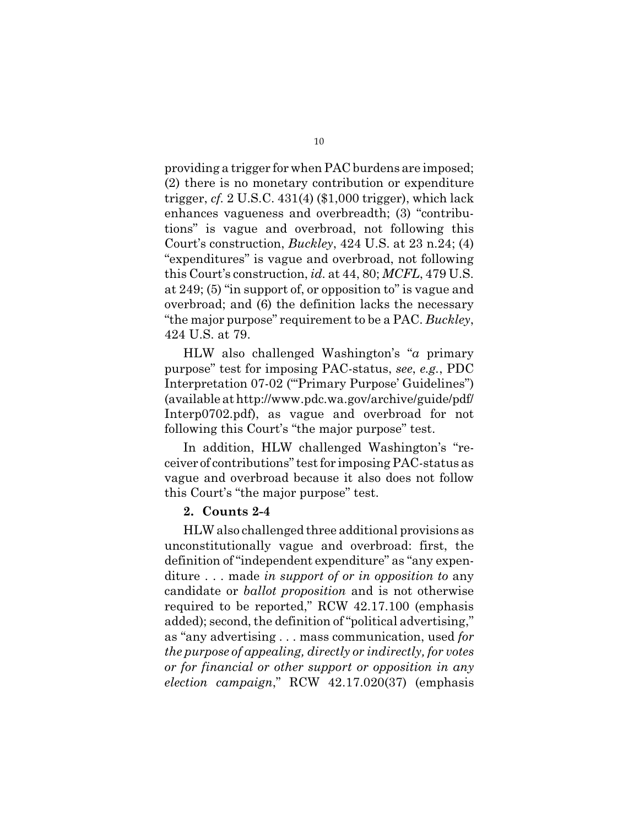providing a trigger for when PAC burdens are imposed; (2) there is no monetary contribution or expenditure trigger, *cf.* 2 U.S.C. 431(4) (\$1,000 trigger), which lack enhances vagueness and overbreadth; (3) "contributions" is vague and overbroad, not following this Court's construction, *Buckley*, 424 U.S. at 23 n.24; (4) "expenditures" is vague and overbroad, not following this Court's construction, *id.* at 44, 80; *MCFL*, 479 U.S. at 249; (5) "in support of, or opposition to" is vague and overbroad; and (6) the definition lacks the necessary "the major purpose" requirement to be a PAC. *Buckley*, 424 U.S. at 79.

HLW also challenged Washington's "*a* primary purpose" test for imposing PAC-status, *see*, *e.g.*, PDC Interpretation 07-02 ("'Primary Purpose' Guidelines") (available at http://www.pdc.wa.gov/archive/guide/pdf/ Interp0702.pdf), as vague and overbroad for not following this Court's "the major purpose" test.

In addition, HLW challenged Washington's "receiver of contributions" test for imposing PAC-status as vague and overbroad because it also does not follow this Court's "the major purpose" test.

#### **2. Counts 2-4**

HLW also challenged three additional provisions as unconstitutionally vague and overbroad: first, the definition of "independent expenditure" as "any expenditure . . . made *in support of or in opposition to* any candidate or *ballot proposition* and is not otherwise required to be reported," RCW 42.17.100 (emphasis added); second, the definition of "political advertising," as "any advertising . . . mass communication, used *for the purpose of appealing, directly or indirectly, for votes or for financial or other support or opposition in any election campaign*," RCW 42.17.020(37) (emphasis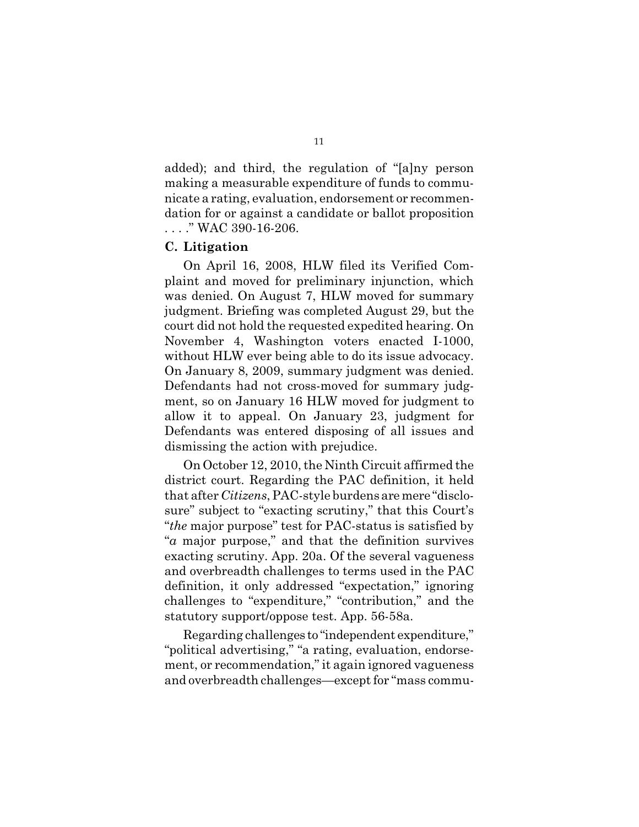added); and third, the regulation of "[a]ny person making a measurable expenditure of funds to communicate a rating, evaluation, endorsement or recommendation for or against a candidate or ballot proposition . . . ." WAC 390-16-206.

#### **C. Litigation**

On April 16, 2008, HLW filed its Verified Complaint and moved for preliminary injunction, which was denied. On August 7, HLW moved for summary judgment. Briefing was completed August 29, but the court did not hold the requested expedited hearing. On November 4, Washington voters enacted I-1000, without HLW ever being able to do its issue advocacy. On January 8, 2009, summary judgment was denied. Defendants had not cross-moved for summary judgment, so on January 16 HLW moved for judgment to allow it to appeal. On January 23, judgment for Defendants was entered disposing of all issues and dismissing the action with prejudice.

On October 12, 2010, the Ninth Circuit affirmed the district court. Regarding the PAC definition, it held that after *Citizens*, PAC-style burdensaremere "disclosure" subject to "exacting scrutiny," that this Court's "*the* major purpose" test for PAC-status is satisfied by "*a* major purpose," and that the definition survives exacting scrutiny. App. 20a. Of the several vagueness and overbreadth challenges to terms used in the PAC definition, it only addressed "expectation," ignoring challenges to "expenditure," "contribution," and the statutory support/oppose test. App. 56-58a.

Regarding challenges to "independent expenditure," "political advertising," "a rating, evaluation, endorsement, or recommendation," it again ignored vagueness and overbreadth challenges—except for "mass commu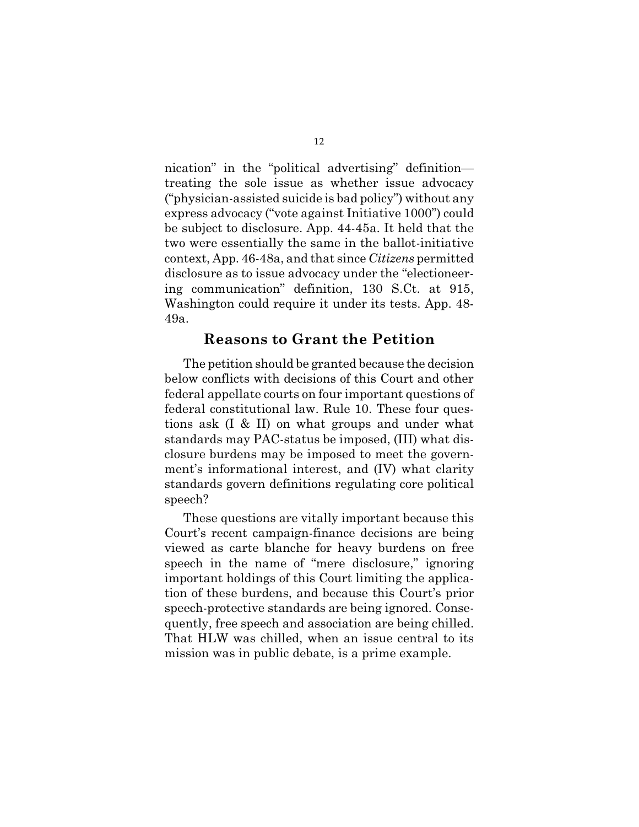nication" in the "political advertising" definition treating the sole issue as whether issue advocacy ("physician-assisted suicide is bad policy") without any express advocacy ("vote against Initiative 1000") could be subject to disclosure. App. 44-45a. It held that the two were essentially the same in the ballot-initiative context, App. 46-48a, and that since *Citizens* permitted disclosure as to issue advocacy under the "electioneering communication" definition, 130 S.Ct. at 915, Washington could require it under its tests. App. 48- 49a.

#### **Reasons to Grant the Petition**

The petition should be granted because the decision below conflicts with decisions of this Court and other federal appellate courts on four important questions of federal constitutional law. Rule 10. These four questions ask (I & II) on what groups and under what standards may PAC-status be imposed, (III) what disclosure burdens may be imposed to meet the government's informational interest, and (IV) what clarity standards govern definitions regulating core political speech?

These questions are vitally important because this Court's recent campaign-finance decisions are being viewed as carte blanche for heavy burdens on free speech in the name of "mere disclosure," ignoring important holdings of this Court limiting the application of these burdens, and because this Court's prior speech-protective standards are being ignored. Consequently, free speech and association are being chilled. That HLW was chilled, when an issue central to its mission was in public debate, is a prime example.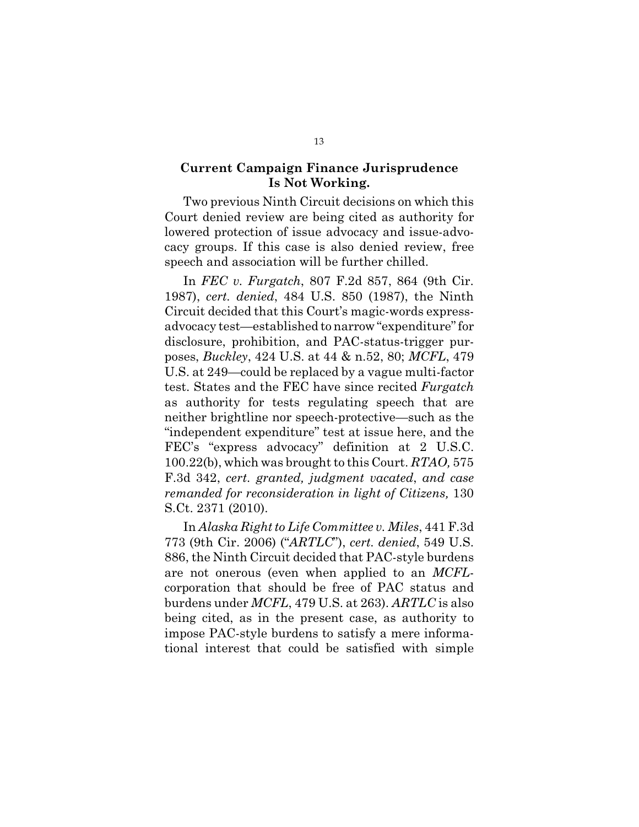#### **Current Campaign Finance Jurisprudence Is Not Working.**

Two previous Ninth Circuit decisions on which this Court denied review are being cited as authority for lowered protection of issue advocacy and issue-advocacy groups. If this case is also denied review, free speech and association will be further chilled.

In *FEC v. Furgatch*, 807 F.2d 857, 864 (9th Cir. 1987), *cert. denied*, 484 U.S. 850 (1987), the Ninth Circuit decided that this Court's magic-words expressadvocacy test—established to narrow "expenditure" for disclosure, prohibition, and PAC-status-trigger purposes, *Buckley*, 424 U.S. at 44 & n.52, 80; *MCFL*, 479 U.S. at 249—could be replaced by a vague multi-factor test. States and the FEC have since recited *Furgatch* as authority for tests regulating speech that are neither brightline nor speech-protective—such as the "independent expenditure" test at issue here, and the FEC's "express advocacy" definition at 2 U.S.C. 100.22(b), which was brought to this Court. *RTAO,* 575 F.3d 342, *cert. granted, judgment vacated*, *and case remanded for reconsideration in light of Citizens,* 130 S.Ct. 2371 (2010).

In *Alaska Right to Life Committee v. Miles*, 441 F.3d 773 (9th Cir. 2006) ("*ARTLC*"), *cert. denied*, 549 U.S. 886, the Ninth Circuit decided that PAC-style burdens are not onerous (even when applied to an *MCFL*corporation that should be free of PAC status and burdens under *MCFL*, 479 U.S. at 263). *ARTLC* is also being cited, as in the present case, as authority to impose PAC-style burdens to satisfy a mere informational interest that could be satisfied with simple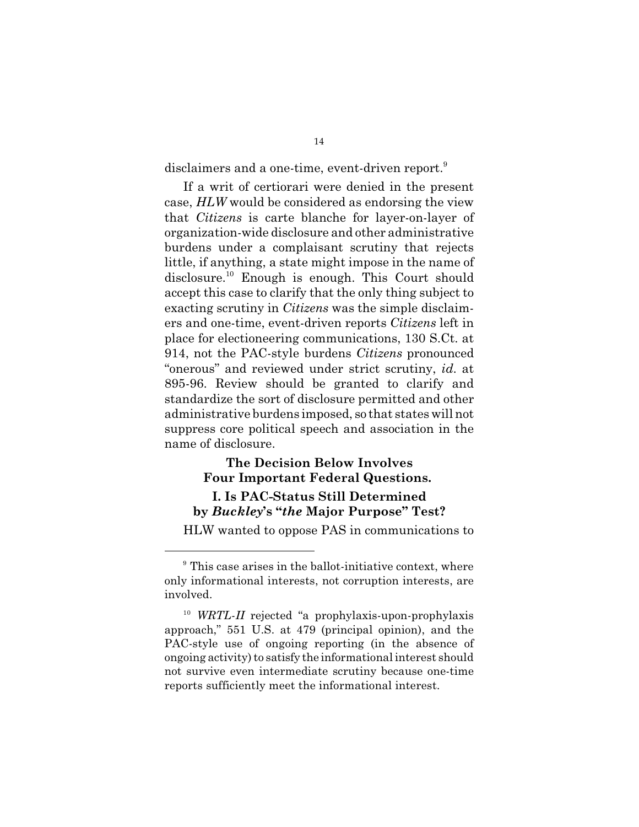disclaimers and a one-time, event-driven report.<sup>9</sup>

If a writ of certiorari were denied in the present case, *HLW* would be considered as endorsing the view that *Citizens* is carte blanche for layer-on-layer of organization-wide disclosure and other administrative burdens under a complaisant scrutiny that rejects little, if anything, a state might impose in the name of disclosure.<sup>10</sup> Enough is enough. This Court should accept this case to clarify that the only thing subject to exacting scrutiny in *Citizens* was the simple disclaimers and one-time, event-driven reports *Citizens* left in place for electioneering communications, 130 S.Ct. at 914, not the PAC-style burdens *Citizens* pronounced "onerous" and reviewed under strict scrutiny, *id*. at 895-96. Review should be granted to clarify and standardize the sort of disclosure permitted and other administrative burdens imposed, so that states will not suppress core political speech and association in the name of disclosure.

## **The Decision Below Involves Four Important Federal Questions.**

#### **I. Is PAC-Status Still Determined by** *Buckley***'s "***the* **Major Purpose" Test?**

HLW wanted to oppose PAS in communications to

 $9$  This case arises in the ballot-initiative context, where only informational interests, not corruption interests, are involved.

<sup>&</sup>lt;sup>10</sup> WRTL-II rejected "a prophylaxis-upon-prophylaxis approach," 551 U.S. at 479 (principal opinion), and the PAC-style use of ongoing reporting (in the absence of ongoing activity) to satisfy the informational interest should not survive even intermediate scrutiny because one-time reports sufficiently meet the informational interest.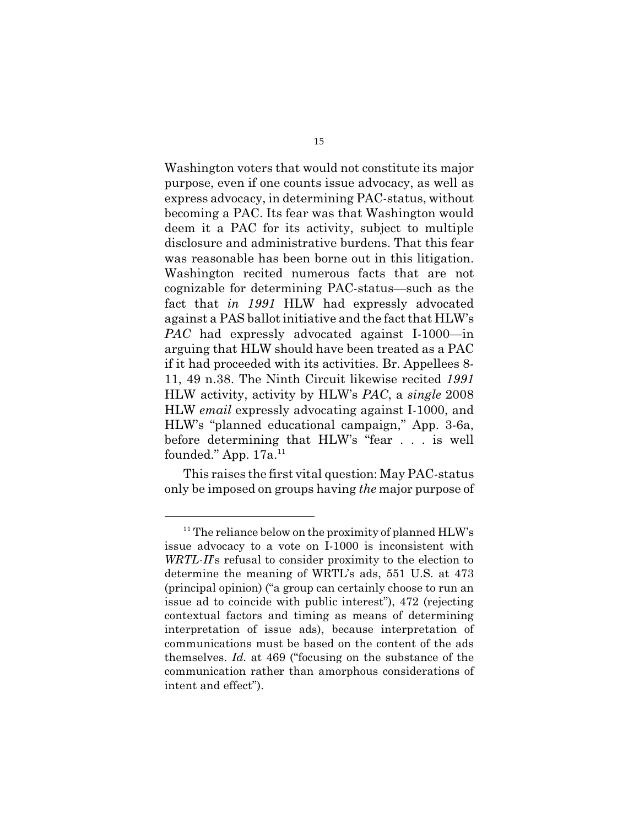Washington voters that would not constitute its major purpose, even if one counts issue advocacy, as well as express advocacy, in determining PAC-status, without becoming a PAC. Its fear was that Washington would deem it a PAC for its activity, subject to multiple disclosure and administrative burdens. That this fear was reasonable has been borne out in this litigation. Washington recited numerous facts that are not cognizable for determining PAC-status—such as the fact that *in 1991* HLW had expressly advocated against a PAS ballot initiative and the fact that HLW's *PAC* had expressly advocated against I-1000—in arguing that HLW should have been treated as a PAC if it had proceeded with its activities. Br. Appellees 8- 11, 49 n.38. The Ninth Circuit likewise recited *1991* HLW activity, activity by HLW's *PAC*, a *single* 2008 HLW *email* expressly advocating against I-1000, and HLW's "planned educational campaign," App. 3-6a, before determining that HLW's "fear . . . is well founded." App.  $17a$ <sup>11</sup>

This raises the first vital question: May PAC-status only be imposed on groups having *the* major purpose of

 $11$ <sup>11</sup> The reliance below on the proximity of planned HLW's issue advocacy to a vote on I-1000 is inconsistent with *WRTL-II*'s refusal to consider proximity to the election to determine the meaning of WRTL's ads, 551 U.S. at 473 (principal opinion) ("a group can certainly choose to run an issue ad to coincide with public interest"), 472 (rejecting contextual factors and timing as means of determining interpretation of issue ads), because interpretation of communications must be based on the content of the ads themselves. *Id.* at 469 ("focusing on the substance of the communication rather than amorphous considerations of intent and effect").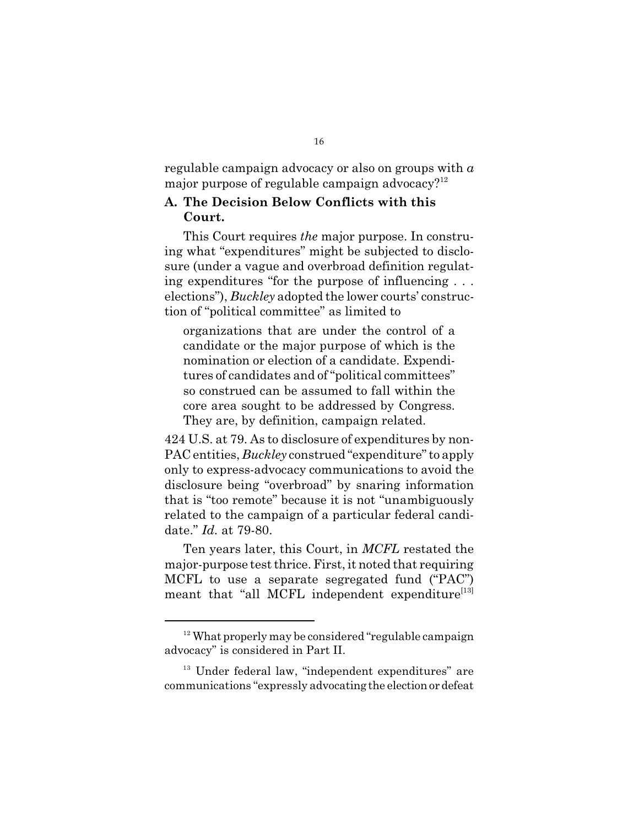regulable campaign advocacy or also on groups with *a* major purpose of regulable campaign advocacy? $12$ 

#### **A. The Decision Below Conflicts with this Court.**

This Court requires *the* major purpose. In construing what "expenditures" might be subjected to disclosure (under a vague and overbroad definition regulating expenditures "for the purpose of influencing . . . elections"), *Buckley* adopted the lower courts' construction of "political committee" as limited to

organizations that are under the control of a candidate or the major purpose of which is the nomination or election of a candidate. Expenditures of candidates and of "political committees" so construed can be assumed to fall within the core area sought to be addressed by Congress. They are, by definition, campaign related.

424 U.S. at 79. As to disclosure of expenditures by non-PAC entities, *Buckley* construed "expenditure" to apply only to express-advocacy communications to avoid the disclosure being "overbroad" by snaring information that is "too remote" because it is not "unambiguously related to the campaign of a particular federal candidate." *Id.* at 79-80.

Ten years later, this Court, in *MCFL* restated the major-purpose test thrice. First, it noted that requiring MCFL to use a separate segregated fund ("PAC") meant that "all MCFL independent expenditure<sup>[13]</sup>

<sup>&</sup>lt;sup>12</sup> What properly may be considered "regulable campaign advocacy" is considered in Part II.

<sup>&</sup>lt;sup>13</sup> Under federal law, "independent expenditures" are communications "expressly advocating the electionordefeat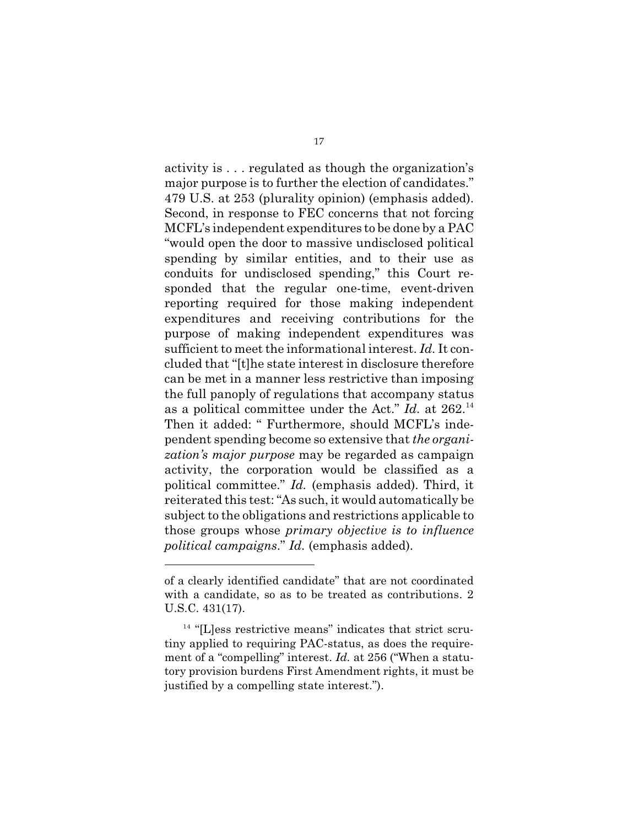activity is . . . regulated as though the organization's major purpose is to further the election of candidates." 479 U.S. at 253 (plurality opinion) (emphasis added). Second, in response to FEC concerns that not forcing MCFL's independent expenditures to be done by a PAC "would open the door to massive undisclosed political spending by similar entities, and to their use as conduits for undisclosed spending," this Court responded that the regular one-time, event-driven reporting required for those making independent expenditures and receiving contributions for the purpose of making independent expenditures was sufficient to meet the informational interest. *Id.* It concluded that "[t]he state interest in disclosure therefore can be met in a manner less restrictive than imposing the full panoply of regulations that accompany status as a political committee under the Act." *Id.* at 262.<sup>14</sup> Then it added: " Furthermore, should MCFL's independent spending become so extensive that *the organization's major purpose* may be regarded as campaign activity, the corporation would be classified as a political committee." *Id.* (emphasis added). Third, it reiterated this test: "As such, it would automatically be subject to the obligations and restrictions applicable to those groups whose *primary objective is to influence political campaigns*." *Id.* (emphasis added).

of a clearly identified candidate" that are not coordinated with a candidate, so as to be treated as contributions. 2 U.S.C. 431(17).

 $14$  "[L]ess restrictive means" indicates that strict scrutiny applied to requiring PAC-status, as does the requirement of a "compelling" interest. *Id.* at 256 ("When a statutory provision burdens First Amendment rights, it must be justified by a compelling state interest.").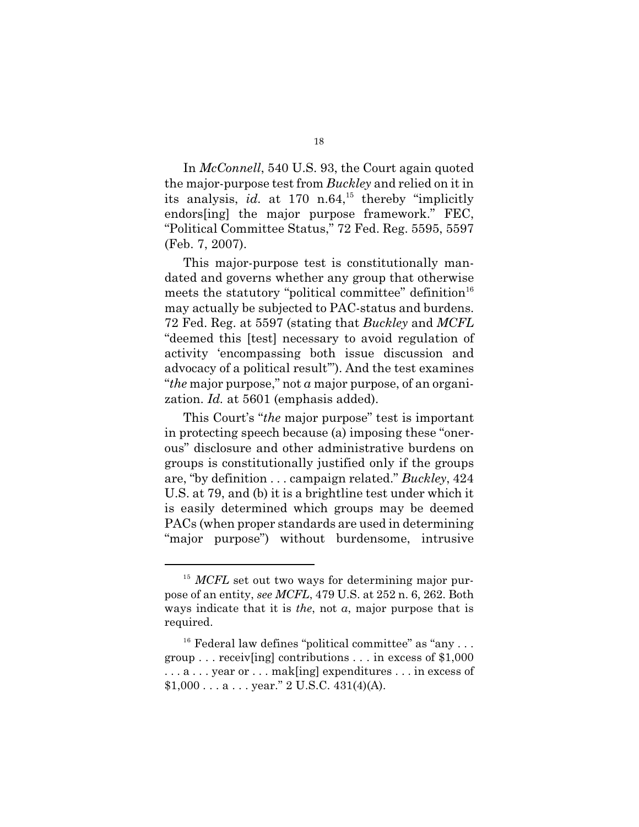In *McConnell*, 540 U.S. 93, the Court again quoted the major-purpose test from *Buckley* and relied on it in its analysis,  $id.$  at 170 n.64,<sup>15</sup> thereby "implicitly endors[ing] the major purpose framework." FEC, "Political Committee Status," 72 Fed. Reg. 5595, 5597 (Feb. 7, 2007).

This major-purpose test is constitutionally mandated and governs whether any group that otherwise meets the statutory "political committee" definition $16$ may actually be subjected to PAC-status and burdens. 72 Fed. Reg. at 5597 (stating that *Buckley* and *MCFL* "deemed this [test] necessary to avoid regulation of activity 'encompassing both issue discussion and advocacy of a political result'"). And the test examines "*the* major purpose," not *a* major purpose, of an organization. *Id.* at 5601 (emphasis added).

This Court's "*the* major purpose" test is important in protecting speech because (a) imposing these "onerous" disclosure and other administrative burdens on groups is constitutionally justified only if the groups are, "by definition . . . campaign related." *Buckley*, 424 U.S. at 79, and (b) it is a brightline test under which it is easily determined which groups may be deemed PACs (when proper standards are used in determining "major purpose") without burdensome, intrusive

<sup>&</sup>lt;sup>15</sup> MCFL set out two ways for determining major purpose of an entity, *see MCFL*, 479 U.S. at 252 n. 6, 262. Both ways indicate that it is *the*, not *a*, major purpose that is required.

 $16$  Federal law defines "political committee" as "any  $\dots$ group . . . receiv[ing] contributions . . . in excess of \$1,000 . . . a . . . year or . . . mak[ing] expenditures . . . in excess of  $$1,000...a...year." 2 U.S.C. 431(4)(A).$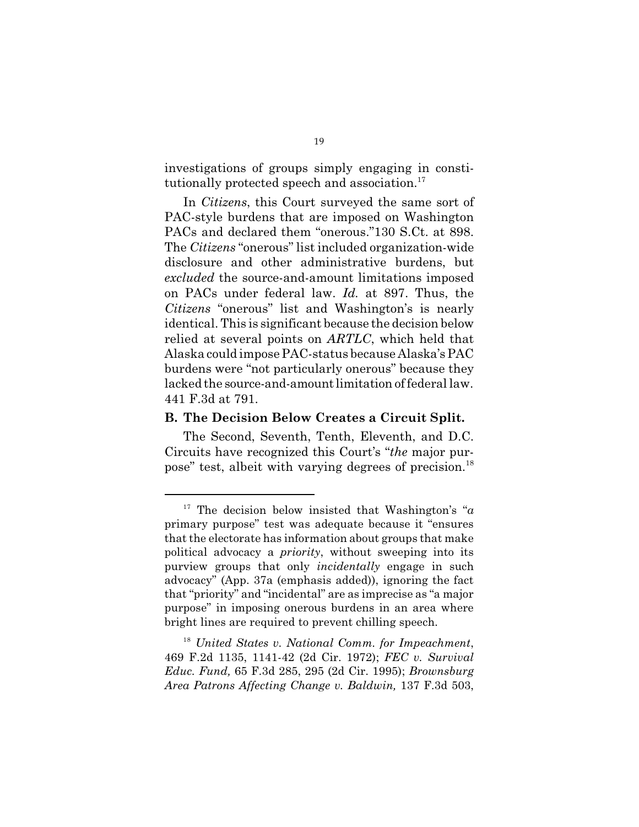investigations of groups simply engaging in constitutionally protected speech and association.<sup>17</sup>

In *Citizens*, this Court surveyed the same sort of PAC-style burdens that are imposed on Washington PACs and declared them "onerous."130 S.Ct. at 898. The *Citizens* "onerous" list included organization-wide disclosure and other administrative burdens, but *excluded* the source-and-amount limitations imposed on PACs under federal law. *Id.* at 897. Thus, the *Citizens* "onerous" list and Washington's is nearly identical. This is significant because the decision below relied at several points on *ARTLC*, which held that Alaska could impose PAC-status because Alaska's PAC burdens were "not particularly onerous" because they lacked the source-and-amount limitation of federal law. 441 F.3d at 791.

#### **B. The Decision Below Creates a Circuit Split.**

The Second, Seventh, Tenth, Eleventh, and D.C. Circuits have recognized this Court's "*the* major purpose" test, albeit with varying degrees of precision.<sup>18</sup>

<sup>&</sup>lt;sup>17</sup> The decision below insisted that Washington's " $a$ primary purpose" test was adequate because it "ensures that the electorate has information about groups that make political advocacy a *priority*, without sweeping into its purview groups that only *incidentally* engage in such advocacy" (App. 37a (emphasis added)), ignoring the fact that "priority" and "incidental" are as imprecise as "a major purpose" in imposing onerous burdens in an area where bright lines are required to prevent chilling speech.

*United States v. National Comm. for Impeachment*, 18 469 F.2d 1135, 1141-42 (2d Cir. 1972); *FEC v. Survival Educ. Fund,* 65 F.3d 285, 295 (2d Cir. 1995); *Brownsburg Area Patrons Affecting Change v. Baldwin,* 137 F.3d 503,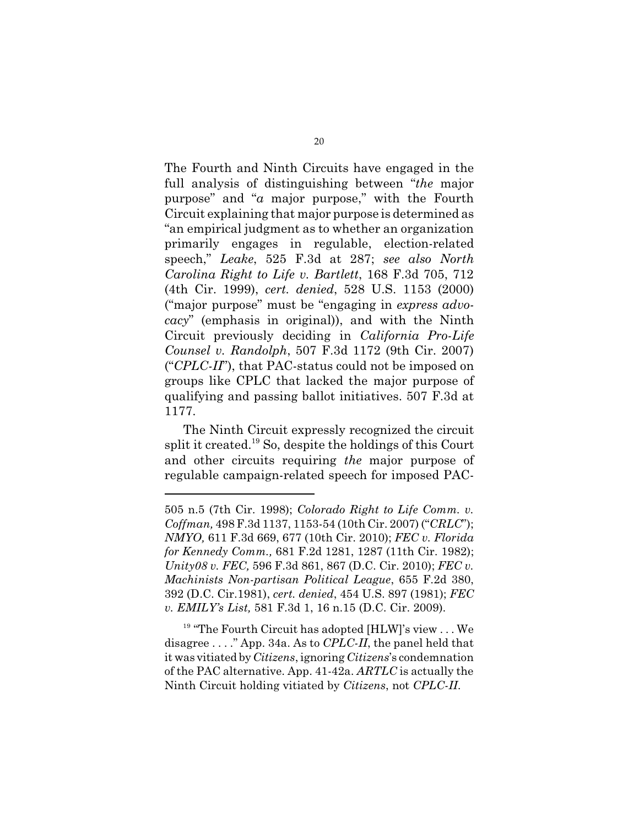The Fourth and Ninth Circuits have engaged in the full analysis of distinguishing between "*the* major purpose" and "*a* major purpose," with the Fourth Circuit explaining that major purpose is determined as "an empirical judgment as to whether an organization primarily engages in regulable, election-related speech," *Leake*, 525 F.3d at 287; *see also North Carolina Right to Life v. Bartlett*, 168 F.3d 705, 712 (4th Cir. 1999), *cert. denied*, 528 U.S. 1153 (2000) ("major purpose" must be "engaging in *express advocacy*" (emphasis in original)), and with the Ninth Circuit previously deciding in *California Pro-Life Counsel v. Randolph*, 507 F.3d 1172 (9th Cir. 2007) ("*CPLC-II*"), that PAC-status could not be imposed on groups like CPLC that lacked the major purpose of qualifying and passing ballot initiatives. 507 F.3d at 1177.

The Ninth Circuit expressly recognized the circuit split it created.<sup>19</sup> So, despite the holdings of this Court and other circuits requiring *the* major purpose of regulable campaign-related speech for imposed PAC-

 $19$  "The Fourth Circuit has adopted [HLW]'s view ... We disagree . . . ." App. 34a. As to *CPLC-II*, the panel held that it was vitiated by *Citizens*, ignoring *Citizens*'s condemnation of the PAC alternative. App. 41-42a. *ARTLC* is actually the Ninth Circuit holding vitiated by *Citizens*, not *CPLC-II*.

<sup>505</sup> n.5 (7th Cir. 1998); *Colorado Right to Life Comm. v. Coffman,* 498 F.3d 1137, 1153-54 (10th Cir. 2007) ("*CRLC*"); *NMYO,* 611 F.3d 669, 677 (10th Cir. 2010); *FEC v. Florida for Kennedy Comm.,* 681 F.2d 1281, 1287 (11th Cir. 1982); *Unity08 v. FEC,* 596 F.3d 861, 867 (D.C. Cir. 2010); *FEC v. Machinists Non-partisan Political League*, 655 F.2d 380, 392 (D.C. Cir.1981), *cert. denied*, 454 U.S. 897 (1981); *FEC v. EMILY's List,* 581 F.3d 1, 16 n.15 (D.C. Cir. 2009).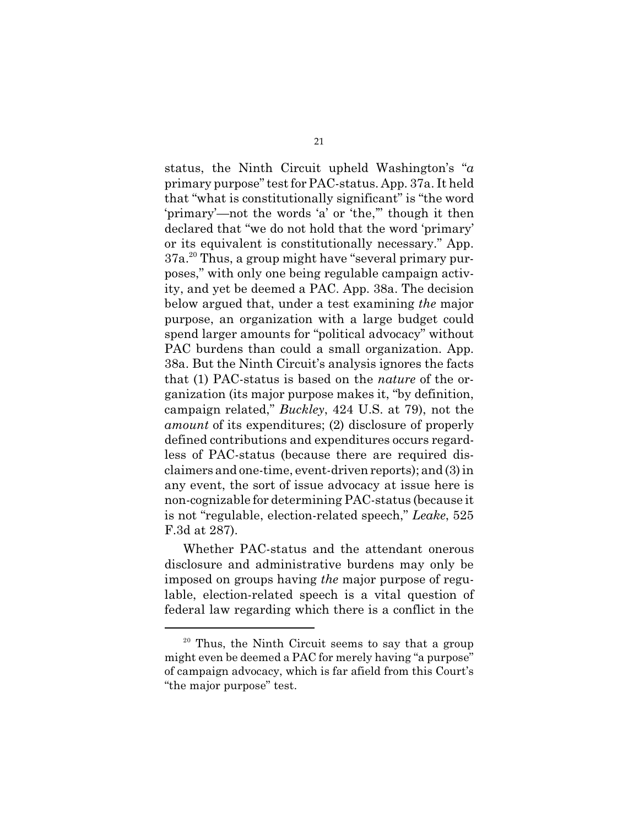status, the Ninth Circuit upheld Washington's "*a* primary purpose" test for PAC-status. App. 37a. It held that "what is constitutionally significant" is "the word 'primary'—not the words 'a' or 'the,'" though it then declared that "we do not hold that the word 'primary' or its equivalent is constitutionally necessary." App. 37a.<sup>20</sup> Thus, a group might have "several primary purposes," with only one being regulable campaign activity, and yet be deemed a PAC. App. 38a. The decision below argued that, under a test examining *the* major purpose, an organization with a large budget could spend larger amounts for "political advocacy" without PAC burdens than could a small organization. App. 38a. But the Ninth Circuit's analysis ignores the facts that (1) PAC-status is based on the *nature* of the organization (its major purpose makes it, "by definition, campaign related," *Buckley*, 424 U.S. at 79), not the *amount* of its expenditures; (2) disclosure of properly defined contributions and expenditures occurs regardless of PAC-status (because there are required disclaimers and one-time, event-driven reports); and (3) in any event, the sort of issue advocacy at issue here is non-cognizable for determining PAC-status (because it is not "regulable, election-related speech," *Leake*, 525 F.3d at 287).

Whether PAC-status and the attendant onerous disclosure and administrative burdens may only be imposed on groups having *the* major purpose of regulable, election-related speech is a vital question of federal law regarding which there is a conflict in the

 $20$  Thus, the Ninth Circuit seems to say that a group might even be deemed a PAC for merely having "a purpose" of campaign advocacy, which is far afield from this Court's "the major purpose" test.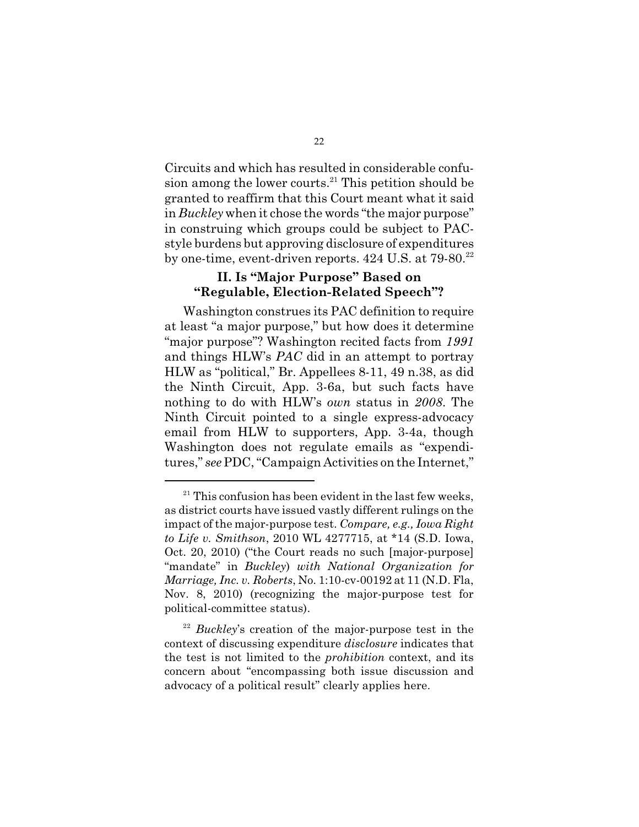Circuits and which has resulted in considerable confusion among the lower courts. $21$  This petition should be granted to reaffirm that this Court meant what it said in *Buckley* when it chose the words "the major purpose" in construing which groups could be subject to PACstyle burdens but approving disclosure of expenditures by one-time, event-driven reports.  $424$  U.S. at  $79-80.<sup>22</sup>$ 

## **II. Is "Major Purpose" Based on "Regulable, Election-Related Speech"?**

Washington construes its PAC definition to require at least "a major purpose," but how does it determine "major purpose"? Washington recited facts from *1991* and things HLW's *PAC* did in an attempt to portray HLW as "political," Br. Appellees 8-11, 49 n.38, as did the Ninth Circuit, App. 3-6a, but such facts have nothing to do with HLW's *own* status in *2008*. The Ninth Circuit pointed to a single express-advocacy email from HLW to supporters, App. 3-4a, though Washington does not regulate emails as "expenditures," *see*PDC, "Campaign Activities on the Internet,"

 $21$ <sup>21</sup> This confusion has been evident in the last few weeks, as district courts have issued vastly different rulings on the impact of the major-purpose test. *Compare, e.g., Iowa Right to Life v. Smithson*, 2010 WL 4277715, at \*14 (S.D. Iowa, Oct. 20, 2010) ("the Court reads no such [major-purpose] "mandate" in *Buckley*) *with National Organization for Marriage, Inc. v. Roberts*, No. 1:10-cv-00192 at 11 (N.D. Fla, Nov. 8, 2010) (recognizing the major-purpose test for political-committee status).

<sup>&</sup>lt;sup>22</sup> Buckley's creation of the major-purpose test in the context of discussing expenditure *disclosure* indicates that the test is not limited to the *prohibition* context, and its concern about "encompassing both issue discussion and advocacy of a political result" clearly applies here.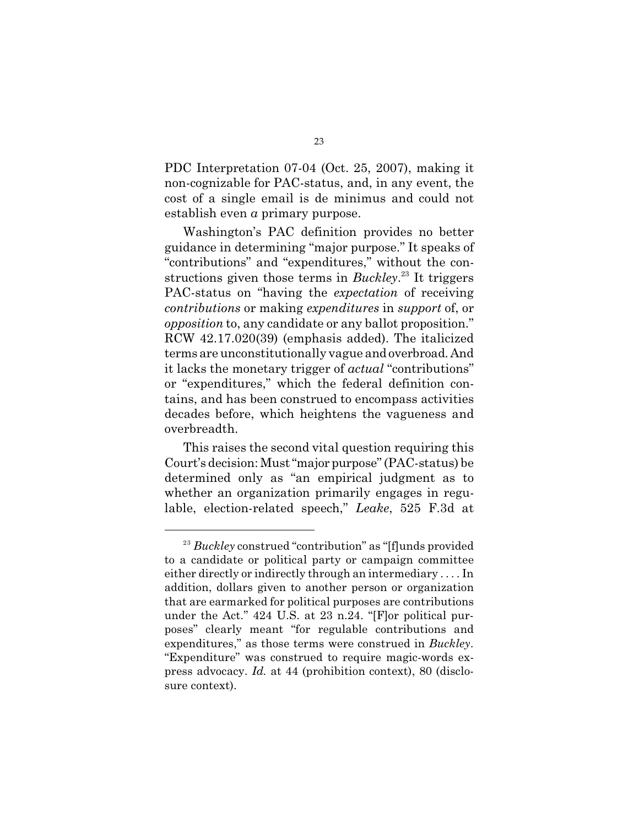PDC Interpretation 07-04 (Oct. 25, 2007), making it non-cognizable for PAC-status, and, in any event, the cost of a single email is de minimus and could not establish even *a* primary purpose.

Washington's PAC definition provides no better guidance in determining "major purpose." It speaks of "contributions" and "expenditures," without the constructions given those terms in *Buckley*<sup>23</sup> It triggers PAC-status on "having the *expectation* of receiving *contributions* or making *expenditures* in *support* of, or *opposition* to, any candidate or any ballot proposition." RCW 42.17.020(39) (emphasis added). The italicized terms are unconstitutionally vague and overbroad. And it lacks the monetary trigger of *actual* "contributions" or "expenditures," which the federal definition contains, and has been construed to encompass activities decades before, which heightens the vagueness and overbreadth.

This raises the second vital question requiring this Court's decision: Must"major purpose" (PAC-status) be determined only as "an empirical judgment as to whether an organization primarily engages in regulable, election-related speech," *Leake*, 525 F.3d at

<sup>&</sup>lt;sup>23</sup> Buckley construed "contribution" as "[f]unds provided to a candidate or political party or campaign committee either directly or indirectly through an intermediary . . . . In addition, dollars given to another person or organization that are earmarked for political purposes are contributions under the Act." 424 U.S. at 23 n.24. "[F]or political purposes" clearly meant "for regulable contributions and expenditures," as those terms were construed in *Buckley*. "Expenditure" was construed to require magic-words express advocacy. *Id.* at 44 (prohibition context), 80 (disclosure context).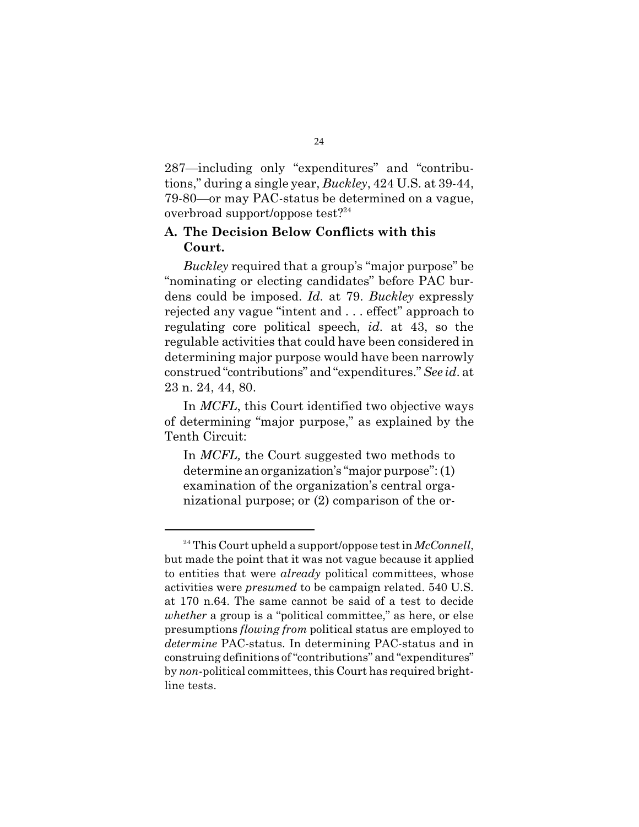287—including only "expenditures" and "contributions," during a single year, *Buckley*, 424 U.S. at 39-44, 79-80—or may PAC-status be determined on a vague, overbroad support/oppose test?<sup>24</sup>

#### **A. The Decision Below Conflicts with this Court.**

*Buckley* required that a group's "major purpose" be "nominating or electing candidates" before PAC burdens could be imposed. *Id.* at 79. *Buckley* expressly rejected any vague "intent and . . . effect" approach to regulating core political speech, *id.* at 43, so the regulable activities that could have been considered in determining major purpose would have been narrowly construed "contributions" and"expenditures." *See id*. at 23 n. 24, 44, 80.

In *MCFL*, this Court identified two objective ways of determining "major purpose," as explained by the Tenth Circuit:

In *MCFL,* the Court suggested two methods to determine an organization's "major purpose": (1) examination of the organization's central organizational purpose; or (2) comparison of the or-

<sup>&</sup>lt;sup>24</sup> This Court upheld a support/oppose test in *McConnell*, but made the point that it was not vague because it applied to entities that were *already* political committees, whose activities were *presumed* to be campaign related. 540 U.S. at 170 n.64. The same cannot be said of a test to decide *whether* a group is a "political committee," as here, or else presumptions *flowing from* political status are employed to *determine* PAC-status. In determining PAC-status and in construing definitions of "contributions" and "expenditures" by *non*-political committees, this Court has required brightline tests.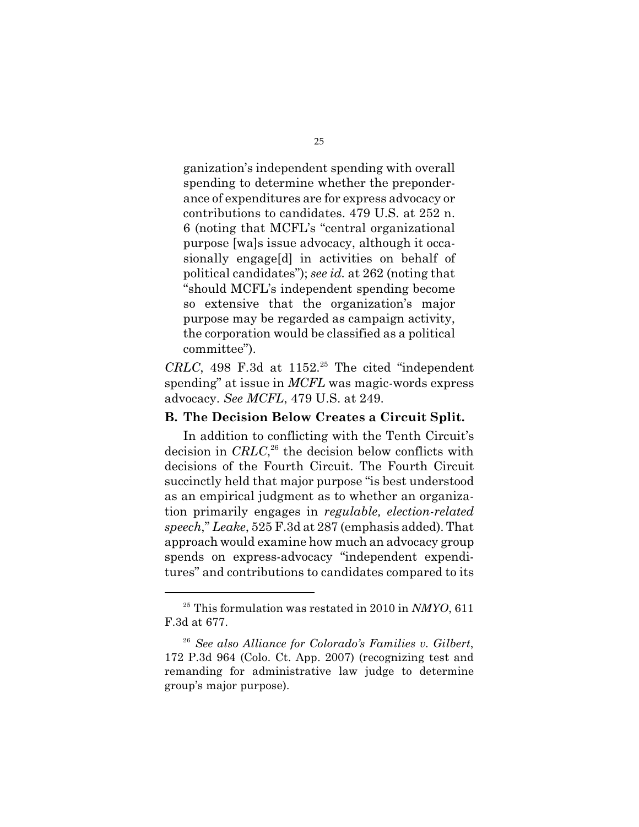ganization's independent spending with overall spending to determine whether the preponderance of expenditures are for express advocacy or contributions to candidates. 479 U.S. at 252 n. 6 (noting that MCFL's "central organizational purpose [wa]s issue advocacy, although it occasionally engage[d] in activities on behalf of political candidates"); *see id.* at 262 (noting that "should MCFL's independent spending become so extensive that the organization's major purpose may be regarded as campaign activity, the corporation would be classified as a political committee").

 $CRLC$ , 498 F.3d at  $1152.<sup>25</sup>$  The cited "independent spending" at issue in *MCFL* was magic-words express advocacy. *See MCFL*, 479 U.S. at 249.

#### **B. The Decision Below Creates a Circuit Split.**

In addition to conflicting with the Tenth Circuit's decision in  $CRLC$ ,<sup>26</sup> the decision below conflicts with decisions of the Fourth Circuit. The Fourth Circuit succinctly held that major purpose "is best understood as an empirical judgment as to whether an organization primarily engages in *regulable, election-related speech*," *Leake*, 525 F.3d at 287 (emphasis added). That approach would examine how much an advocacy group spends on express-advocacy "independent expenditures" and contributions to candidates compared to its

 $^{25}$  This formulation was restated in 2010 in *NMYO*, 611 F.3d at 677.

*See also Alliance for Colorado's Families v. Gilbert*, 26 172 P.3d 964 (Colo. Ct. App. 2007) (recognizing test and remanding for administrative law judge to determine group's major purpose).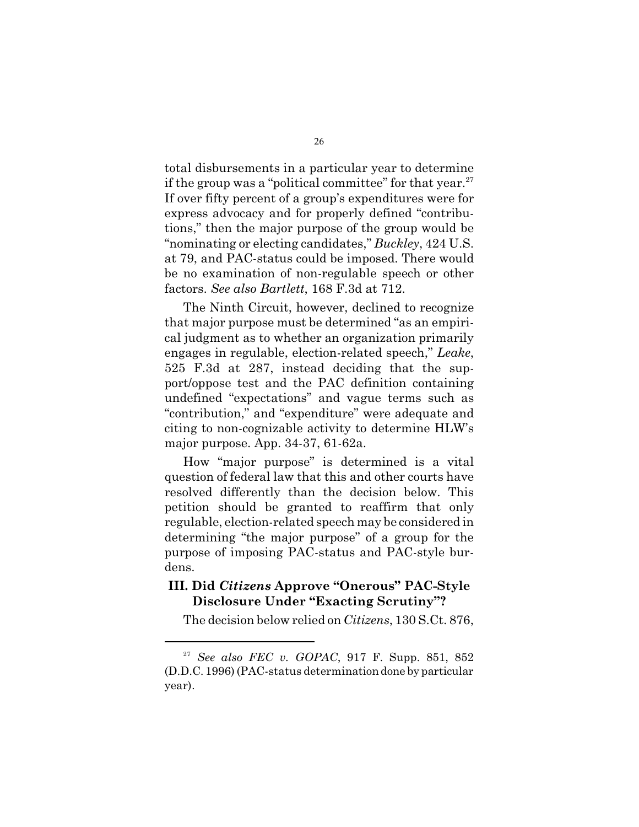total disbursements in a particular year to determine if the group was a "political committee" for that year.<sup>27</sup> If over fifty percent of a group's expenditures were for express advocacy and for properly defined "contributions," then the major purpose of the group would be "nominating or electing candidates," *Buckley*, 424 U.S. at 79, and PAC-status could be imposed. There would be no examination of non-regulable speech or other factors. *See also Bartlett*, 168 F.3d at 712.

The Ninth Circuit, however, declined to recognize that major purpose must be determined "as an empirical judgment as to whether an organization primarily engages in regulable, election-related speech," *Leake*, 525 F.3d at 287, instead deciding that the support/oppose test and the PAC definition containing undefined "expectations" and vague terms such as "contribution," and "expenditure" were adequate and citing to non-cognizable activity to determine HLW's major purpose. App. 34-37, 61-62a.

How "major purpose" is determined is a vital question of federal law that this and other courts have resolved differently than the decision below. This petition should be granted to reaffirm that only regulable, election-related speech may be considered in determining "the major purpose" of a group for the purpose of imposing PAC-status and PAC-style burdens.

#### **III. Did** *Citizens* **Approve "Onerous" PAC-Style Disclosure Under "Exacting Scrutiny"?**

The decision below relied on *Citizens*, 130 S.Ct. 876,

<sup>&</sup>lt;sup>27</sup> See also FEC *v.* GOPAC, 917 F. Supp. 851, 852 (D.D.C. 1996) (PAC-status determination done by particular year).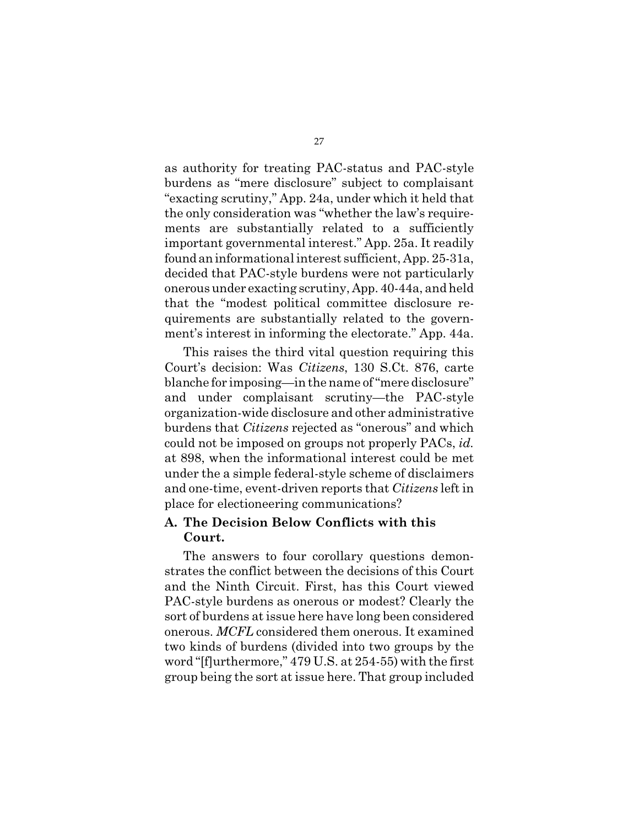as authority for treating PAC-status and PAC-style burdens as "mere disclosure" subject to complaisant "exacting scrutiny," App. 24a, under which it held that the only consideration was "whether the law's requirements are substantially related to a sufficiently important governmental interest." App. 25a. It readily foundaninformational interest sufficient, App. 25-31a, decided that PAC-style burdens were not particularly onerousunder exacting scrutiny, App. 40-44a, and held that the "modest political committee disclosure requirements are substantially related to the government's interest in informing the electorate." App. 44a.

This raises the third vital question requiring this Court's decision: Was *Citizens*, 130 S.Ct. 876, carte blanche for imposing—in the name of "mere disclosure" and under complaisant scrutiny—the PAC-style organization-wide disclosure and other administrative burdens that *Citizens* rejected as "onerous" and which could not be imposed on groups not properly PACs, *id.* at 898, when the informational interest could be met under the a simple federal-style scheme of disclaimers and one-time, event-driven reports that *Citizens* left in place for electioneering communications?

#### **A. The Decision Below Conflicts with this Court.**

The answers to four corollary questions demonstrates the conflict between the decisions of this Court and the Ninth Circuit. First, has this Court viewed PAC-style burdens as onerous or modest? Clearly the sort of burdens at issue here have long been considered onerous. *MCFL* considered them onerous. It examined two kinds of burdens (divided into two groups by the word "[f]urthermore," 479 U.S. at 254-55) with the first group being the sort at issue here. That group included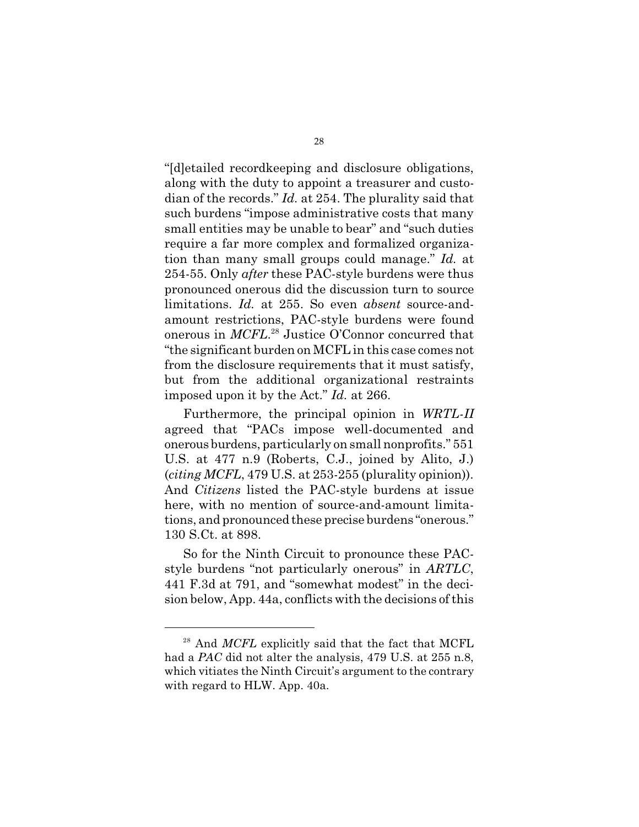"[d]etailed recordkeeping and disclosure obligations, along with the duty to appoint a treasurer and custodian of the records." *Id.* at 254. The plurality said that such burdens "impose administrative costs that many small entities may be unable to bear" and "such duties require a far more complex and formalized organization than many small groups could manage." *Id.* at 254-55. Only *after* these PAC-style burdens were thus pronounced onerous did the discussion turn to source limitations. *Id.* at 255. So even *absent* source-andamount restrictions, PAC-style burdens were found onerous in *MCFL*.<sup>28</sup> Justice O'Connor concurred that "the significant burden on MCFL in this case comes not from the disclosure requirements that it must satisfy, but from the additional organizational restraints imposed upon it by the Act." *Id.* at 266.

Furthermore, the principal opinion in *WRTL-II* agreed that "PACs impose well-documented and onerous burdens, particularly on small nonprofits." 551 U.S. at 477 n.9 (Roberts, C.J., joined by Alito, J.) (*citing MCFL*, 479 U.S. at 253-255 (plurality opinion)). And *Citizens* listed the PAC-style burdens at issue here, with no mention of source-and-amount limitations, and pronounced these precise burdens "onerous." 130 S.Ct. at 898.

So for the Ninth Circuit to pronounce these PACstyle burdens "not particularly onerous" in *ARTLC*, 441 F.3d at 791, and "somewhat modest" in the decision below, App. 44a, conflicts with the decisions of this

<sup>&</sup>lt;sup>28</sup> And *MCFL* explicitly said that the fact that MCFL had a *PAC* did not alter the analysis, 479 U.S. at 255 n.8, which vitiates the Ninth Circuit's argument to the contrary with regard to HLW. App. 40a.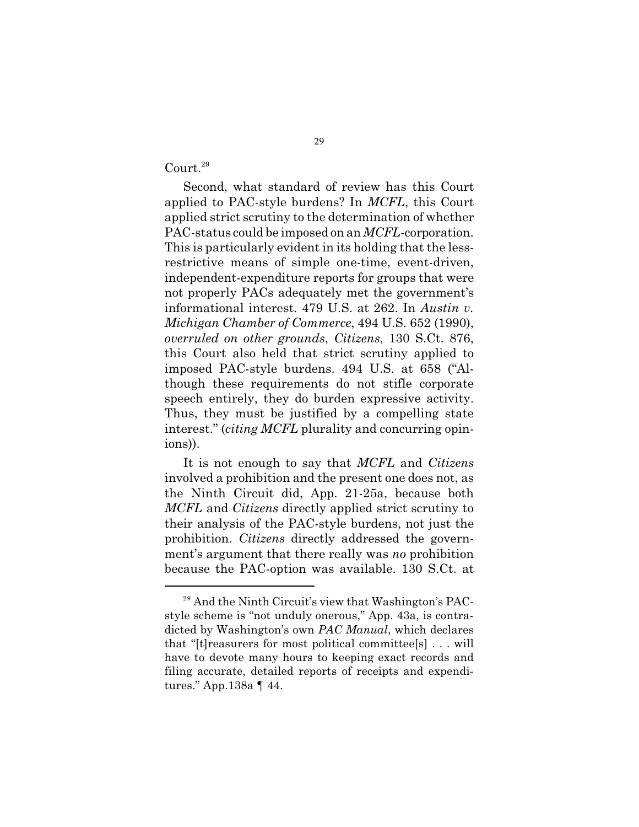Court.<sup>29</sup>

Second, what standard of review has this Court applied to PAC-style burdens? In *MCFL*, this Court applied strict scrutiny to the determination of whether PAC-status could be imposed on an *MCFL*-corporation. This is particularly evident in its holding that the lessrestrictive means of simple one-time, event-driven, independent-expenditure reports for groups that were not properly PACs adequately met the government's informational interest. 479 U.S. at 262. In *Austin v. Michigan Chamber of Commerce*, 494 U.S. 652 (1990), *overruled on other grounds*, *Citizens*, 130 S.Ct. 876, this Court also held that strict scrutiny applied to imposed PAC-style burdens. 494 U.S. at 658 ("Although these requirements do not stifle corporate speech entirely, they do burden expressive activity. Thus, they must be justified by a compelling state interest." (*citing MCFL* plurality and concurring opinions)).

It is not enough to say that *MCFL* and *Citizens* involved a prohibition and the present one does not, as the Ninth Circuit did, App. 21-25a, because both *MCFL* and *Citizens* directly applied strict scrutiny to their analysis of the PAC-style burdens, not just the prohibition. *Citizens* directly addressed the government's argument that there really was *no* prohibition because the PAC-option was available. 130 S.Ct. at

 $29$  And the Ninth Circuit's view that Washington's PACstyle scheme is "not unduly onerous," App. 43a, is contradicted by Washington's own *PAC Manual*, which declares that "[t]reasurers for most political committee[s] . . . will have to devote many hours to keeping exact records and filing accurate, detailed reports of receipts and expenditures." App.138a ¶ 44.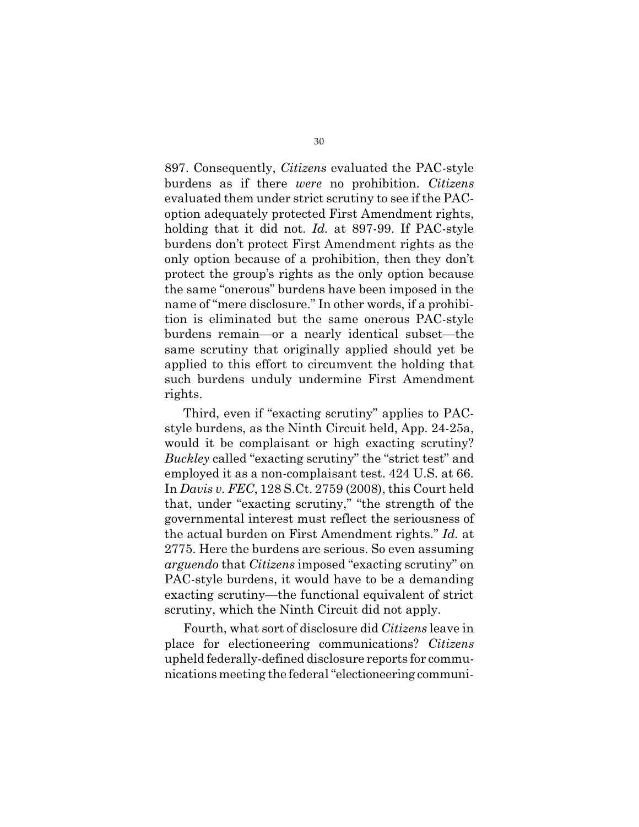897. Consequently, *Citizens* evaluated the PAC-style burdens as if there *were* no prohibition. *Citizens* evaluated them under strict scrutiny to see if the PACoption adequately protected First Amendment rights, holding that it did not. *Id.* at 897-99. If PAC-style burdens don't protect First Amendment rights as the only option because of a prohibition, then they don't protect the group's rights as the only option because the same "onerous" burdens have been imposed in the name of "mere disclosure." In other words, if a prohibition is eliminated but the same onerous PAC-style burdens remain—or a nearly identical subset—the same scrutiny that originally applied should yet be applied to this effort to circumvent the holding that such burdens unduly undermine First Amendment rights.

Third, even if "exacting scrutiny" applies to PACstyle burdens, as the Ninth Circuit held, App. 24-25a, would it be complaisant or high exacting scrutiny? *Buckley* called "exacting scrutiny" the "strict test" and employed it as a non-complaisant test. 424 U.S. at 66. In *Davis v. FEC*, 128 S.Ct. 2759 (2008), this Court held that, under "exacting scrutiny," "the strength of the governmental interest must reflect the seriousness of the actual burden on First Amendment rights." *Id.* at 2775. Here the burdens are serious. So even assuming *arguendo* that *Citizens* imposed "exacting scrutiny" on PAC-style burdens, it would have to be a demanding exacting scrutiny—the functional equivalent of strict scrutiny, which the Ninth Circuit did not apply.

Fourth, what sort of disclosure did *Citizens* leave in place for electioneering communications? *Citizens* upheld federally-defined disclosure reports for communications meeting the federal"electioneering communi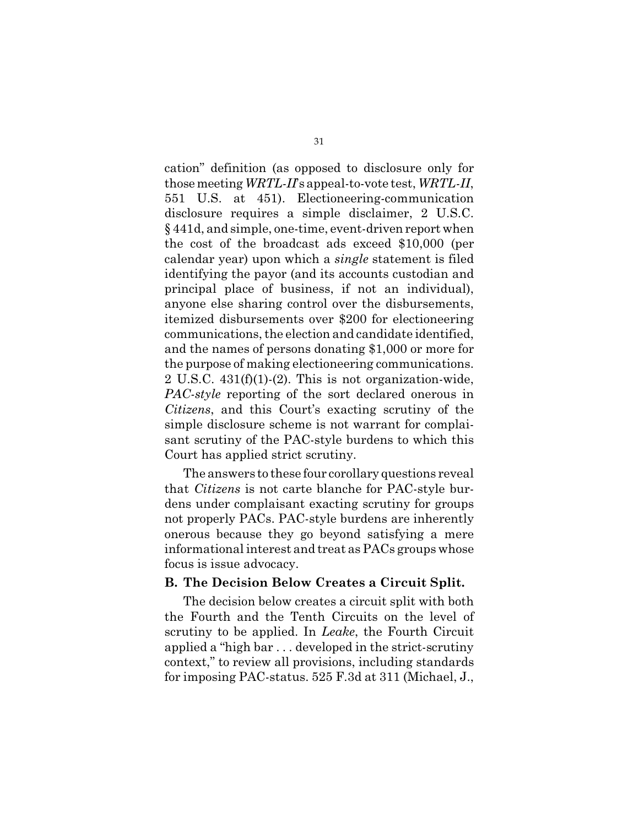cation" definition (as opposed to disclosure only for thosemeeting *WRTL-II*'s appeal-to-vote test, *WRTL-II*, 551 U.S. at 451). Electioneering-communication disclosure requires a simple disclaimer, 2 U.S.C. § 441d, and simple, one-time, event-driven report when the cost of the broadcast ads exceed \$10,000 (per calendar year) upon which a *single* statement is filed identifying the payor (and its accounts custodian and principal place of business, if not an individual), anyone else sharing control over the disbursements, itemized disbursements over \$200 for electioneering communications, the election and candidate identified, and the names of persons donating \$1,000 or more for the purpose of making electioneering communications. 2 U.S.C. 431(f)(1)-(2). This is not organization-wide, *PAC-style* reporting of the sort declared onerous in *Citizens*, and this Court's exacting scrutiny of the simple disclosure scheme is not warrant for complaisant scrutiny of the PAC-style burdens to which this Court has applied strict scrutiny.

The answers to these four corollary questions reveal that *Citizens* is not carte blanche for PAC-style burdens under complaisant exacting scrutiny for groups not properly PACs. PAC-style burdens are inherently onerous because they go beyond satisfying a mere informational interest and treat as PACs groups whose focus is issue advocacy.

#### **B. The Decision Below Creates a Circuit Split.**

The decision below creates a circuit split with both the Fourth and the Tenth Circuits on the level of scrutiny to be applied. In *Leake*, the Fourth Circuit applied a "high bar . . . developed in the strict-scrutiny context," to review all provisions, including standards for imposing PAC-status. 525 F.3d at 311 (Michael, J.,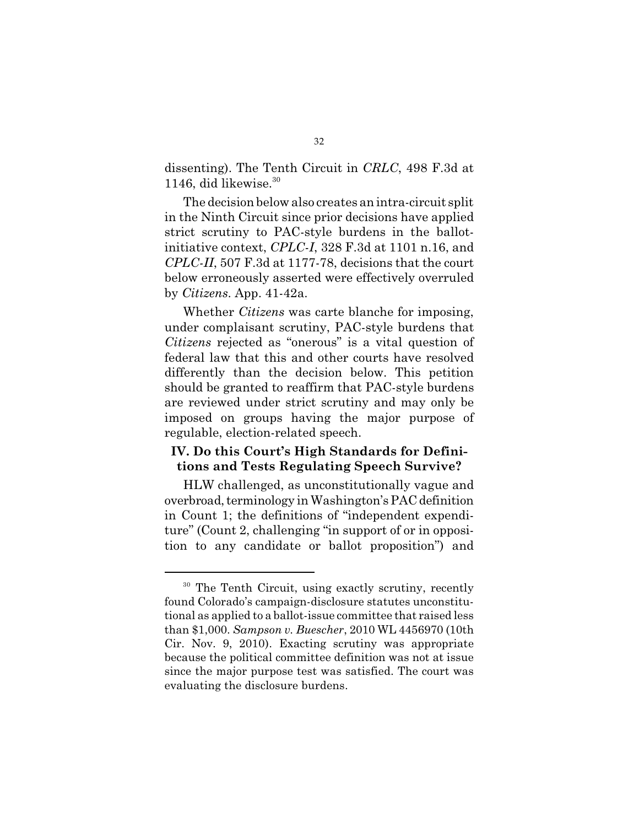dissenting). The Tenth Circuit in *CRLC*, 498 F.3d at 1146, did likewise. $30$ 

The decision below also creates an intra-circuit split in the Ninth Circuit since prior decisions have applied strict scrutiny to PAC-style burdens in the ballotinitiative context, *CPLC-I*, 328 F.3d at 1101 n.16, and *CPLC-II*, 507 F.3d at 1177-78, decisions that the court below erroneously asserted were effectively overruled by *Citizens*. App. 41-42a.

Whether *Citizens* was carte blanche for imposing, under complaisant scrutiny, PAC-style burdens that *Citizens* rejected as "onerous" is a vital question of federal law that this and other courts have resolved differently than the decision below. This petition should be granted to reaffirm that PAC-style burdens are reviewed under strict scrutiny and may only be imposed on groups having the major purpose of regulable, election-related speech.

#### **IV. Do this Court's High Standards for Definitions and Tests Regulating Speech Survive?**

HLW challenged, as unconstitutionally vague and overbroad, terminology in Washington's PAC definition in Count 1; the definitions of "independent expenditure" (Count 2, challenging "in support of or in opposition to any candidate or ballot proposition") and

<sup>&</sup>lt;sup>30</sup> The Tenth Circuit, using exactly scrutiny, recently found Colorado's campaign-disclosure statutes unconstitutional as applied to a ballot-issue committee that raised less than \$1,000. *Sampson v. Buescher*, 2010 WL 4456970 (10th Cir. Nov. 9, 2010). Exacting scrutiny was appropriate because the political committee definition was not at issue since the major purpose test was satisfied. The court was evaluating the disclosure burdens.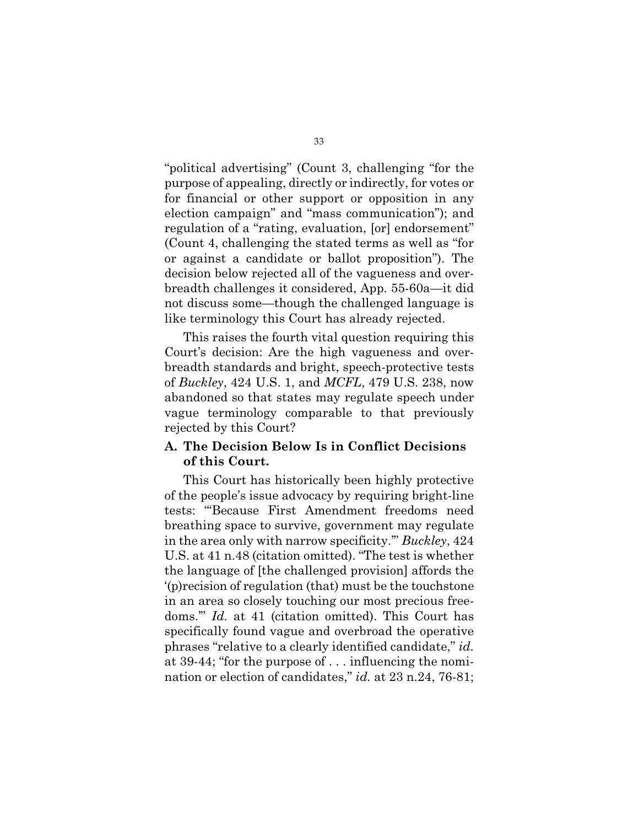"political advertising" (Count 3, challenging "for the purpose of appealing, directly or indirectly, for votes or for financial or other support or opposition in any election campaign" and "mass communication"); and regulation of a "rating, evaluation, [or] endorsement" (Count 4, challenging the stated terms as well as "for or against a candidate or ballot proposition"). The decision below rejected all of the vagueness and overbreadth challenges it considered, App. 55-60a—it did not discuss some—though the challenged language is like terminology this Court has already rejected.

This raises the fourth vital question requiring this Court's decision: Are the high vagueness and overbreadth standards and bright, speech-protective tests of *Buckley*, 424 U.S. 1, and *MCFL*, 479 U.S. 238, now abandoned so that states may regulate speech under vague terminology comparable to that previously rejected by this Court?

#### **A. The Decision Below Is in Conflict Decisions of this Court.**

This Court has historically been highly protective of the people's issue advocacy by requiring bright-line tests: "'Because First Amendment freedoms need breathing space to survive, government may regulate in the area only with narrow specificity.'" *Buckley*, 424 U.S. at 41 n.48 (citation omitted). "The test is whether the language of [the challenged provision] affords the '(p)recision of regulation (that) must be the touchstone in an area so closely touching our most precious freedoms.'" *Id.* at 41 (citation omitted). This Court has specifically found vague and overbroad the operative phrases "relative to a clearly identified candidate," *id.* at 39-44; "for the purpose of . . . influencing the nomination or election of candidates," *id.* at 23 n.24, 76-81;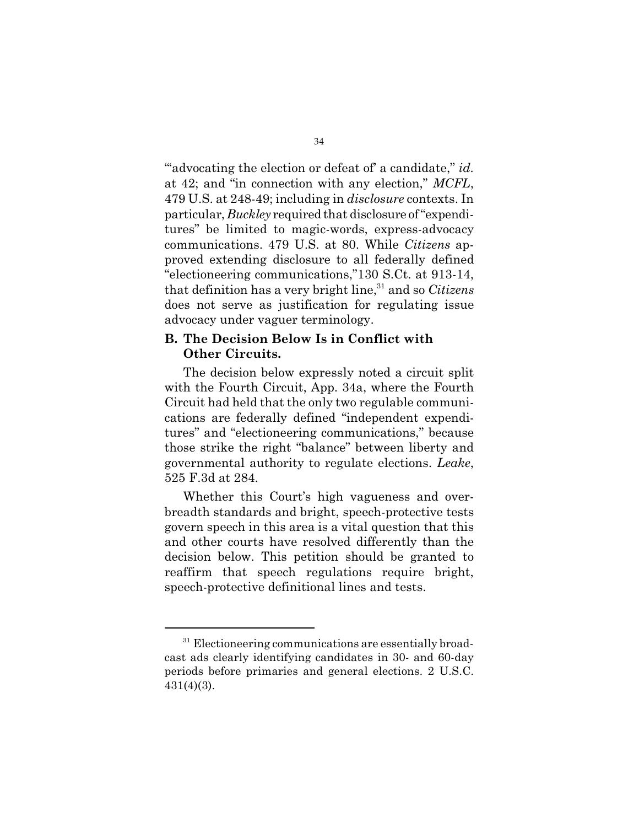"advocating the election or defeat of a candidate," *id.* at 42; and "in connection with any election," *MCFL*, 479 U.S. at 248-49; including in *disclosure* contexts. In particular, *Buckley* required that disclosure of"expenditures" be limited to magic-words, express-advocacy communications. 479 U.S. at 80. While *Citizens* approved extending disclosure to all federally defined "electioneering communications,"130 S.Ct. at 913-14, that definition has a very bright line,<sup>31</sup> and so *Citizens* does not serve as justification for regulating issue advocacy under vaguer terminology.

#### **B. The Decision Below Is in Conflict with Other Circuits.**

The decision below expressly noted a circuit split with the Fourth Circuit, App. 34a, where the Fourth Circuit had held that the only two regulable communications are federally defined "independent expenditures" and "electioneering communications," because those strike the right "balance" between liberty and governmental authority to regulate elections. *Leake*, 525 F.3d at 284.

Whether this Court's high vagueness and overbreadth standards and bright, speech-protective tests govern speech in this area is a vital question that this and other courts have resolved differently than the decision below. This petition should be granted to reaffirm that speech regulations require bright, speech-protective definitional lines and tests.

 $31$  Electioneering communications are essentially broadcast ads clearly identifying candidates in 30- and 60-day periods before primaries and general elections. 2 U.S.C. 431(4)(3).